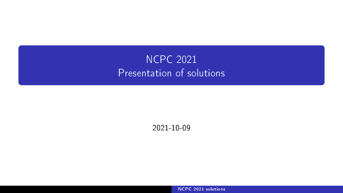# <span id="page-0-0"></span>NCPC 2021 Presentation of solutions

2021-10-09

[NCPC 2021 solutions](#page-154-0)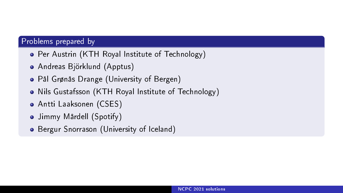## Problems prepared by

- Per Austrin (KTH Royal Institute of Technology)
- Andreas Björklund (Apptus)
- Pål Grønås Drange (University of Bergen)
- Nils Gustafsson (KTH Royal Institute of Technology)
- Antti Laaksonen (CSES)
- Jimmy Mårdell (Spotify)
- **•** Bergur Snorrason (University of Iceland)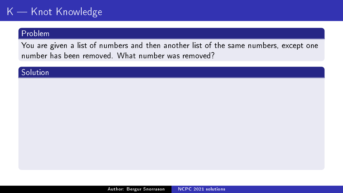## $K -$  Knot Knowledge

## Problem

You are given a list of numbers and then another list of the same numbers, except one number has been removed. What number was removed?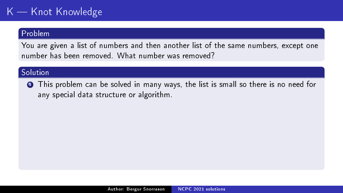# $K -$  Knot Knowledge

#### Problem

You are given a list of numbers and then another list of the same numbers, except one number has been removed. What number was removed?

### Solution

<sup>1</sup> This problem can be solved in many ways, the list is small so there is no need for any special data structure or algorithm.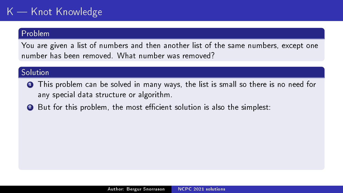# $K -$  Knot Knowledge

#### Problem

You are given a list of numbers and then another list of the same numbers, except one number has been removed. What number was removed?

- <sup>1</sup> This problem can be solved in many ways, the list is small so there is no need for any special data structure or algorithm.
- 2 But for this problem, the most efficient solution is also the simplest: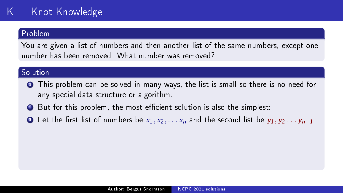# $K -$ Knot Knowledge

### Problem

You are given a list of numbers and then another list of the same numbers, except one number has been removed. What number was removed?

- **1** This problem can be solved in many ways, the list is small so there is no need for any special data structure or algorithm.
- 2 But for this problem, the most efficient solution is also the simplest:
- **3** Let the first list of numbers be  $x_1, x_2, \ldots, x_n$  and the second list be  $y_1, y_2, \ldots, y_{n-1}$ .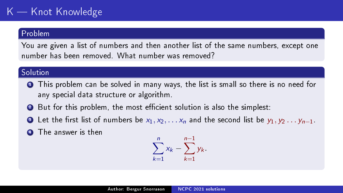# $K -$ Knot Knowledge

#### Problem

You are given a list of numbers and then another list of the same numbers, except one number has been removed. What number was removed?

- **1** This problem can be solved in many ways, the list is small so there is no need for any special data structure or algorithm.
- 2 But for this problem, the most efficient solution is also the simplest:
- **3** Let the first list of numbers be  $x_1, x_2, \ldots, x_n$  and the second list be  $y_1, y_2, \ldots, y_{n-1}$ .
- **4** The answer is then

$$
\sum_{k=1}^{n} x_k - \sum_{k=1}^{n-1} y_k.
$$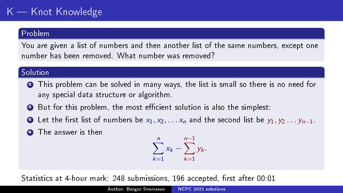# $K -$ Knot Knowledge

### Problem

You are given a list of numbers and then another list of the same numbers, except one number has been removed. What number was removed?

### **Solution**

- **1** This problem can be solved in many ways, the list is small so there is no need for any special data structure or algorithm.
- 2 But for this problem, the most efficient solution is also the simplest:
- **4** Let the first list of numbers be  $x_1, x_2, \ldots, x_n$  and the second list be  $y_1, y_2, \ldots, y_{n-1}$ .
- **4** The answer is then

$$
\sum_{k=1}^{n} x_k - \sum_{k=1}^{n-1} y_k.
$$

Statistics at 4-hour mark: 248 submissions, 196 accepted, first after 00:01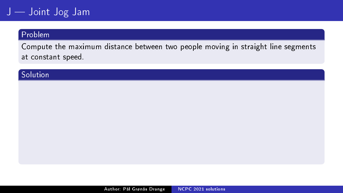## Problem

Compute the maximum distance between two people moving in straight line segments at constant speed.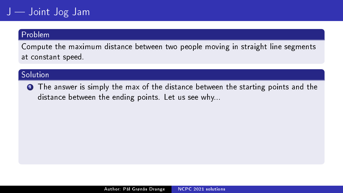### Problem

Compute the maximum distance between two people moving in straight line segments at constant speed.

## Solution

**1** The answer is simply the max of the distance between the starting points and the distance between the ending points. Let us see why...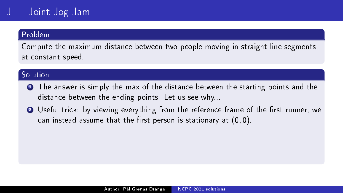### Problem

Compute the maximum distance between two people moving in straight line segments at constant speed.

- **1** The answer is simply the max of the distance between the starting points and the distance between the ending points. Let us see why...
- **2** Useful trick: by viewing everything from the reference frame of the first runner, we can instead assume that the first person is stationary at  $(0, 0)$ .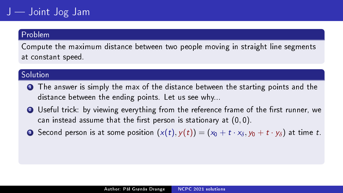### Problem

Compute the maximum distance between two people moving in straight line segments at constant speed.

- **1** The answer is simply the max of the distance between the starting points and the distance between the ending points. Let us see why...
- **2** Useful trick: by viewing everything from the reference frame of the first runner, we can instead assume that the first person is stationary at  $(0, 0)$ .
- **3** Second person is at some position  $(x(t), y(t)) = (x_0 + t \cdot x_\delta, y_0 + t \cdot y_\delta)$  at time t.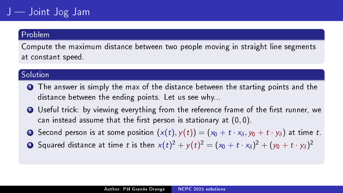### Problem

Compute the maximum distance between two people moving in straight line segments at constant speed.

- **1** The answer is simply the max of the distance between the starting points and the distance between the ending points. Let us see why...
- **2** Useful trick: by viewing everything from the reference frame of the first runner, we can instead assume that the first person is stationary at  $(0, 0)$ .
- **3** Second person is at some position  $(x(t), y(t)) = (x_0 + t \cdot x_\delta, y_0 + t \cdot y_\delta)$  at time t.
- $\bullet$  Squared distance at time  $t$  is then  $x(t)^2+y(t)^2=(x_0+t\cdot x_\delta)^2+(y_0+t\cdot y_\delta)^2$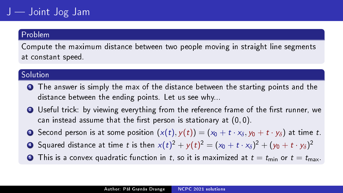### Problem

Compute the maximum distance between two people moving in straight line segments at constant speed.

- **1** The answer is simply the max of the distance between the starting points and the distance between the ending points. Let us see why...
- **2** Useful trick: by viewing everything from the reference frame of the first runner, we can instead assume that the first person is stationary at  $(0, 0)$ .
- **3** Second person is at some position  $(x(t), y(t)) = (x_0 + t \cdot x_\delta, y_0 + t \cdot y_\delta)$  at time t.
- $\bullet$  Squared distance at time  $t$  is then  $x(t)^2+y(t)^2=(x_0+t\cdot x_\delta)^2+(y_0+t\cdot y_\delta)^2$
- **6** This is a convex quadratic function in t, so it is maximized at  $t = t_{\text{min}}$  or  $t = t_{\text{max}}$ .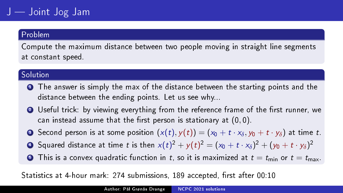Compute the maximum distance between two people moving in straight line segments at constant speed.

### Solution

- **1** The answer is simply the max of the distance between the starting points and the distance between the ending points. Let us see why...
- **2** Useful trick: by viewing everything from the reference frame of the first runner, we can instead assume that the first person is stationary at  $(0, 0)$ .
- **3** Second person is at some position  $(x(t), y(t)) = (x_0 + t \cdot x_\delta, y_0 + t \cdot y_\delta)$  at time t.
- $\bullet$  Squared distance at time  $t$  is then  $x(t)^2+y(t)^2=(x_0+t\cdot x_\delta)^2+(y_0+t\cdot y_\delta)^2$
- **•** This is a convex quadratic function in t, so it is maximized at  $t = t_{\text{min}}$  or  $t = t_{\text{max}}$ .

Statistics at 4-hour mark: 274 submissions, 189 accepted, first after 00:10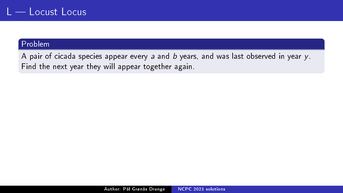A pair of cicada species appear every  $a$  and  $b$  years, and was last observed in year  $y$ . Find the next year they will appear together again.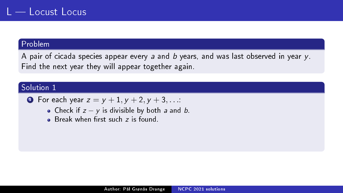A pair of cicada species appear every a and b years, and was last observed in year  $y$ . Find the next year they will appear together again.

• For each year 
$$
z = y + 1, y + 2, y + 3, ...
$$

- Check if  $z y$  is divisible by both a and b.
- **Break when first such**  $\overline{z}$  **is found.**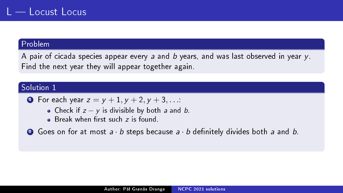A pair of cicada species appear every a and b years, and was last observed in year  $y$ . Find the next year they will appear together again.

- **1** For each year  $z = y + 1, y + 2, y + 3, ...$ 
	- Check if  $z y$  is divisible by both a and b.
	- **Break when first such z is found.**
- $\bullet$  Goes on for at most  $a \cdot b$  steps because  $a \cdot b$  definitely divides both a and b.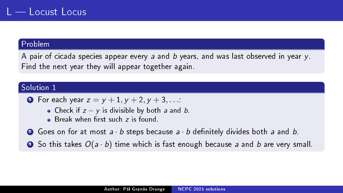A pair of cicada species appear every a and b years, and was last observed in year  $y$ . Find the next year they will appear together again.

• For each year 
$$
z = y + 1, y + 2, y + 3, ...
$$

- Check if  $z y$  is divisible by both a and b.
- **Break when first such z is found.**
- **2** Goes on for at most  $a \cdot b$  steps because  $a \cdot b$  definitely divides both a and b.
- $\bullet$  So this takes  $O(a \cdot b)$  time which is fast enough because a and b are very small.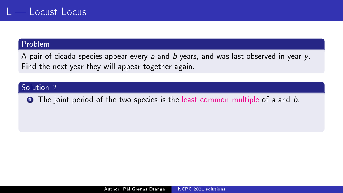A pair of cicada species appear every a and b years, and was last observed in year  $y$ . Find the next year they will appear together again.

## Solution 2

**1** The joint period of the two species is the [least common multiple](https://en.wikipedia.org/wiki/Least_common_multiple) of a and b.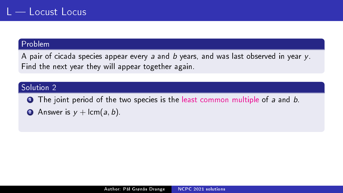A pair of cicada species appear every a and b years, and was last observed in year  $y$ . Find the next year they will appear together again.

### Solution 2

**1** The joint period of the two species is the [least common multiple](https://en.wikipedia.org/wiki/Least_common_multiple) of a and b.

**2** Answer is  $y + \text{lcm}(a, b)$ .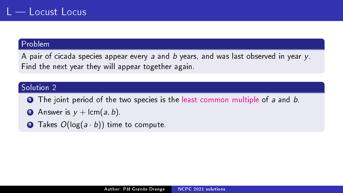A pair of cicada species appear every a and b years, and was last observed in year  $y$ . Find the next year they will appear together again.

- **1** The joint period of the two species is the [least common multiple](https://en.wikipedia.org/wiki/Least_common_multiple) of a and b.
- **2** Answer is  $y + \text{lcm}(a, b)$ .
- **3** Takes  $O(log(a \cdot b))$  time to compute.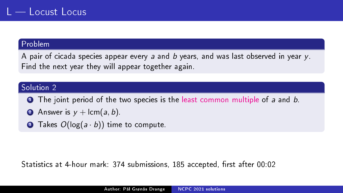A pair of cicada species appear every a and b years, and was last observed in year  $y$ . Find the next year they will appear together again.

### Solution 2

- **1** The joint period of the two species is the [least common multiple](https://en.wikipedia.org/wiki/Least_common_multiple) of a and b.
- **2** Answer is  $y + \text{lcm}(a, b)$ .
- **3** Takes  $O(log(a \cdot b))$  time to compute.

Statistics at 4-hour mark: 374 submissions, 185 accepted, first after 00:02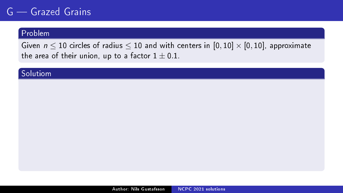Given  $n \leq 10$  circles of radius  $\leq 10$  and with centers in  $[0, 10] \times [0, 10]$ , approximate the area of their union, up to a factor  $1 \pm 0.1$ .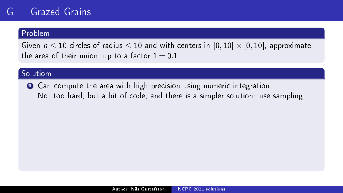#### Problem

Given  $n \leq 10$  circles of radius  $\leq 10$  and with centers in  $[0, 10] \times [0, 10]$ , approximate the area of their union, up to a factor  $1 \pm 0.1$ .

### Solutiom

**1** Can compute the area with high precision using numeric integration. Not too hard, but a bit of code, and there is a simpler solution: use sampling.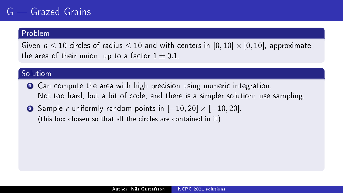#### Problem

Given  $n \leq 10$  circles of radius  $\leq 10$  and with centers in  $[0,10] \times [0,10]$ , approximate the area of their union, up to a factor  $1 \pm 0.1$ .

- **1** Can compute the area with high precision using numeric integration. Not too hard, but a bit of code, and there is a simpler solution: use sampling.
- 2 Sample r uniformly random points in  $[-10, 20] \times [-10, 20]$ . (this box chosen so that all the circles are contained in it)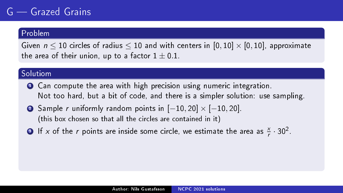#### Problem

Given  $n \leq 10$  circles of radius  $\leq 10$  and with centers in  $[0,10] \times [0,10]$ , approximate the area of their union, up to a factor  $1 \pm 0.1$ .

- **1** Can compute the area with high precision using numeric integration. Not too hard, but a bit of code, and there is a simpler solution: use sampling.
- 2 Sample r uniformly random points in  $[-10, 20] \times [-10, 20]$ . (this box chosen so that all the circles are contained in it)
- **3** If x of the r points are inside some circle, we estimate the area as  $\frac{x}{r} \cdot 30^2$ .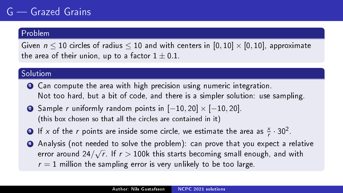#### Problem

Given  $n \leq 10$  circles of radius  $\leq 10$  and with centers in  $[0, 10] \times [0, 10]$ , approximate the area of their union, up to a factor  $1 \pm 0.1$ .

- **1** Can compute the area with high precision using numeric integration. Not too hard, but a bit of code, and there is a simpler solution: use sampling.
- 2 Sample r uniformly random points in  $[-10, 20] \times [-10, 20]$ . (this box chosen so that all the circles are contained in it)
- **3** If x of the r points are inside some circle, we estimate the area as  $\frac{x}{r} \cdot 30^2$ .
- <sup>4</sup> Analysis (not needed to solve the problem): can prove that you expect a relative error around 24/ √  $\overline{r}$  . If  $r > 100$ k this starts becoming small enough, and with  $r = 1$  million the sampling error is very unlikely to be too large.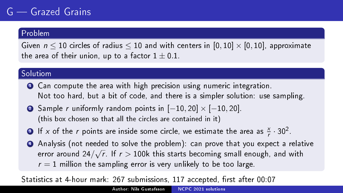### Problem

Given  $n \leq 10$  circles of radius  $\leq 10$  and with centers in  $[0, 10] \times [0, 10]$ , approximate the area of their union, up to a factor  $1 \pm 0.1$ .

### Solutiom

- **1** Can compute the area with high precision using numeric integration. Not too hard, but a bit of code, and there is a simpler solution: use sampling.
- 2 Sample r uniformly random points in  $[-10, 20] \times [-10, 20]$ . (this box chosen so that all the circles are contained in it)
- **3** If x of the r points are inside some circle, we estimate the area as  $\frac{x}{r} \cdot 30^2$ .
- <sup>4</sup> Analysis (not needed to solve the problem): can prove that you expect a relative error around 24/ √  $\overline{r}$  . If  $r > 100$ k this starts becoming small enough, and with  $r = 1$  million the sampling error is very unlikely to be too large.

Statistics at 4-hour mark: 267 submissions, 117 accepted, first after 00:07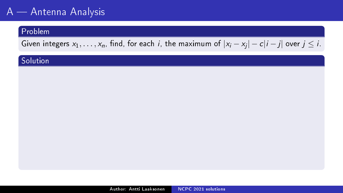# A — Antenna Analysis<sup>1</sup>

## Problem

Given integers  $x_1, \ldots, x_n$ , find, for each *i*, the maximum of  $|x_i - x_j| - c|i - j|$  over  $j \leq i$ .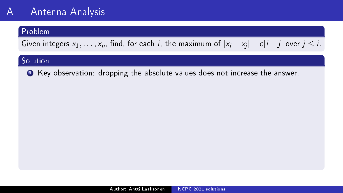## Problem

Given integers  $x_1, \ldots, x_n$ , find, for each *i*, the maximum of  $|x_i - x_j| - c|i - j|$  over  $j \leq i$ .

## Solution

<sup>1</sup> Key observation: dropping the absolute values does not increase the answer.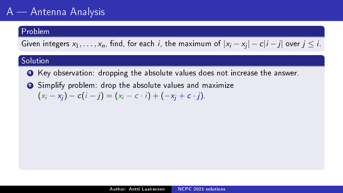## Problem

Given integers  $x_1, \ldots, x_n$ , find, for each *i*, the maximum of  $|x_i - x_j| - c|i - j|$  over  $j \leq i$ .

- <sup>1</sup> Key observation: dropping the absolute values does not increase the answer.
- <sup>2</sup> Simplify problem: drop the absolute values and maximize  $(x_i - x_j) - c(i - j) = (x_i - c \cdot i) + (-x_i + c \cdot j).$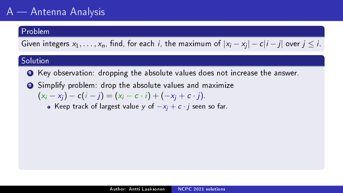## Problem

Given integers  $x_1, \ldots, x_n$ , find, for each *i*, the maximum of  $|x_i - x_j| - c|i - j|$  over  $j \leq i$ .

## Solution

- <sup>1</sup> Key observation: dropping the absolute values does not increase the answer.
- <sup>2</sup> Simplify problem: drop the absolute values and maximize  $(x_i - x_i) - c(i - i) = (x_i - c \cdot i) + (-x_i + c \cdot i).$

• Keep track of largest value y of  $-x_i + c \cdot j$  seen so far.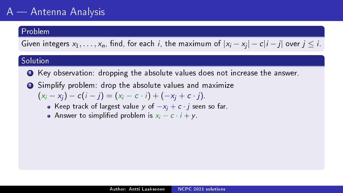## Problem

Given integers  $x_1, \ldots, x_n$ , find, for each *i*, the maximum of  $|x_i - x_j| - c|i - j|$  over  $j \leq i$ .

- <sup>1</sup> Key observation: dropping the absolute values does not increase the answer.
- <sup>2</sup> Simplify problem: drop the absolute values and maximize  $(x_i - x_j) - c(i - j) = (x_i - c \cdot i) + (-x_i + c \cdot j).$ 
	- Keep track of largest value y of  $-x_i + c \cdot j$  seen so far.
	- Answer to simplified problem is  $x_i c \cdot i + v$ .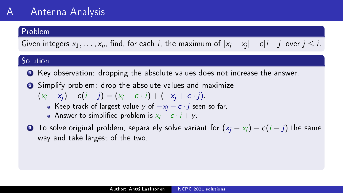## Problem

Given integers  $x_1, \ldots, x_n$ , find, for each *i*, the maximum of  $|x_i - x_j| - c|i - j|$  over  $j \leq i$ .

- <sup>1</sup> Key observation: dropping the absolute values does not increase the answer.
- <sup>2</sup> Simplify problem: drop the absolute values and maximize  $(x_i - x_i) - c(i - i) = (x_i - c \cdot i) + (-x_i + c \cdot i).$ 
	- Keep track of largest value y of  $-x_i + c \cdot j$  seen so far.
	- Answer to simplified problem is  $x_i c \cdot i + v$ .
- $\bullet$  To solve original problem, separately solve variant for  $(x_i x_i) c(i j)$  the same way and take largest of the two.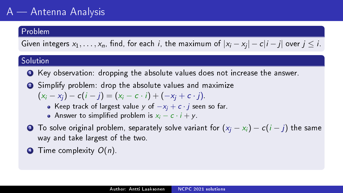## Problem

Given integers  $x_1, \ldots, x_n$ , find, for each *i*, the maximum of  $|x_i - x_j| - c|i - j|$  over  $j \leq i$ .

- <sup>1</sup> Key observation: dropping the absolute values does not increase the answer.
- <sup>2</sup> Simplify problem: drop the absolute values and maximize  $(x_i - x_i) - c(i - i) = (x_i - c \cdot i) + (-x_i + c \cdot i).$ 
	- Keep track of largest value y of  $-x_i + c \cdot j$  seen so far.
	- Answer to simplified problem is  $x_i c \cdot i + v$ .
- $\bullet$  To solve original problem, separately solve variant for  $(x_i x_i) c(i j)$  the same way and take largest of the two.
- $\bullet$  Time complexity  $O(n)$ .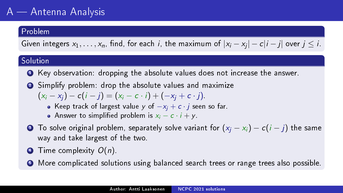# $A$   $\longrightarrow$  Antenna Analysis

### Problem

Given integers  $x_1, \ldots, x_n$ , find, for each *i*, the maximum of  $|x_i - x_j| - c|i - j|$  over  $j \leq i$ .

- <sup>1</sup> Key observation: dropping the absolute values does not increase the answer.
- <sup>2</sup> Simplify problem: drop the absolute values and maximize  $(x_i - x_j) - c(i - j) = (x_i - c \cdot i) + (-x_i + c \cdot j).$ 
	- Keep track of largest value y of  $-x_i + c \cdot j$  seen so far.
	- Answer to simplified problem is  $x_i c \cdot i + v$ .
- $\bullet$  To solve original problem, separately solve variant for  $(x_i x_i) c(i j)$  the same way and take largest of the two.
- $\bullet$  Time complexity  $O(n)$ .
- **•** More complicated solutions using balanced search trees or range trees also possible.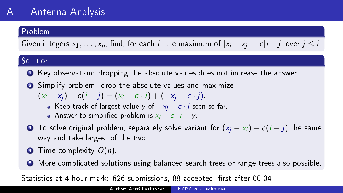# $A$   $\longrightarrow$  Antenna Analysis

### Problem

Given integers  $x_1, \ldots, x_n$ , find, for each *i*, the maximum of  $|x_i - x_j| - c|i - j|$  over  $j \leq i$ .

### Solution

- <sup>1</sup> Key observation: dropping the absolute values does not increase the answer.
- <sup>2</sup> Simplify problem: drop the absolute values and maximize  $(x_i - x_j) - c(i - j) = (x_i - c \cdot i) + (-x_i + c \cdot j).$ 
	- Keep track of largest value y of  $-x_i + c \cdot j$  seen so far.
	- Answer to simplified problem is  $x_i c \cdot i + v$ .
- $\bullet$  To solve original problem, separately solve variant for  $(x_i x_i) c(i j)$  the same way and take largest of the two.
- $\bullet$  Time complexity  $O(n)$ .
- **•** More complicated solutions using balanced search trees or range trees also possible.

Statistics at 4-hour mark: 626 submissions, 88 accepted, first after 00:04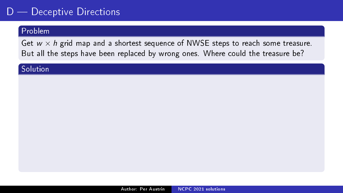### Problem

Get  $w \times h$  grid map and a shortest sequence of NWSE steps to reach some treasure. But all the steps have been replaced by wrong ones. Where could the treasure be?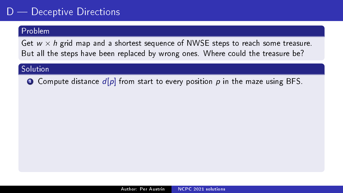### Problem

Get  $w \times h$  grid map and a shortest sequence of NWSE steps to reach some treasure. But all the steps have been replaced by wrong ones. Where could the treasure be?

#### **Solution**

**O** Compute distance  $d[p]$  from start to every position p in the maze using BFS.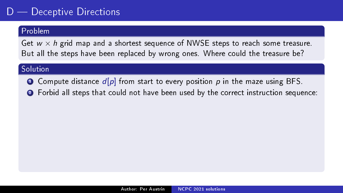#### Problem

Get  $w \times h$  grid map and a shortest sequence of NWSE steps to reach some treasure. But all the steps have been replaced by wrong ones. Where could the treasure be?

- **O** Compute distance  $d[p]$  from start to every position p in the maze using BFS.
- <sup>2</sup> Forbid all steps that could not have been used by the correct instruction sequence: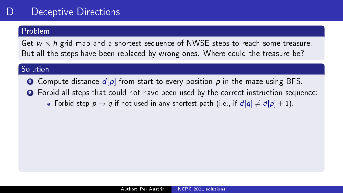### Problem

Get  $w \times h$  grid map and a shortest sequence of NWSE steps to reach some treasure. But all the steps have been replaced by wrong ones. Where could the treasure be?

- **O** Compute distance  $d[p]$  from start to every position p in the maze using BFS.
- <sup>2</sup> Forbid all steps that could not have been used by the correct instruction sequence:
	- Forbid step  $p \rightarrow q$  if not used in any shortest path (i.e., if  $d[q] \neq d[p] + 1$ ).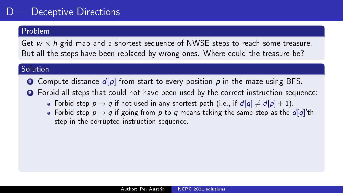### Problem

Get  $w \times h$  grid map and a shortest sequence of NWSE steps to reach some treasure. But all the steps have been replaced by wrong ones. Where could the treasure be?

- **O** Compute distance  $d[p]$  from start to every position p in the maze using BFS.
- <sup>2</sup> Forbid all steps that could not have been used by the correct instruction sequence:
	- Forbid step  $p \rightarrow q$  if not used in any shortest path (i.e., if  $d[q] \neq d[p] + 1$ ).
	- Forbid step  $p \rightarrow q$  if going from p to q means taking the same step as the  $d[q]'$ th step in the corrupted instruction sequence.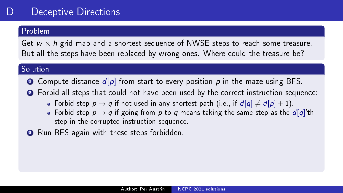### Problem

Get  $w \times h$  grid map and a shortest sequence of NWSE steps to reach some treasure. But all the steps have been replaced by wrong ones. Where could the treasure be?

- **O** Compute distance  $d[p]$  from start to every position p in the maze using BFS.
- <sup>2</sup> Forbid all steps that could not have been used by the correct instruction sequence:
	- Forbid step  $p \rightarrow q$  if not used in any shortest path (i.e., if  $d[q] \neq d[p] + 1$ ).
	- Forbid step  $p \rightarrow q$  if going from p to q means taking the same step as the  $d[q]$ 'th step in the corrupted instruction sequence.
- **3** Run BFS again with these steps forbidden.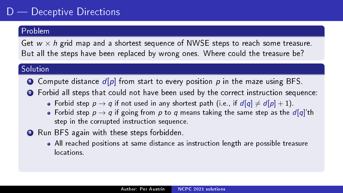### Problem

Get  $w \times h$  grid map and a shortest sequence of NWSE steps to reach some treasure. But all the steps have been replaced by wrong ones. Where could the treasure be?

- **O** Compute distance  $d[p]$  from start to every position p in the maze using BFS.
- <sup>2</sup> Forbid all steps that could not have been used by the correct instruction sequence:
	- Forbid step  $p \to q$  if not used in any shortest path (i.e., if  $d[q] \neq d[p] + 1$ ).
	- Forbid step  $p \rightarrow q$  if going from p to q means taking the same step as the  $d[q]$ 'th step in the corrupted instruction sequence.
- **3** Run BFS again with these steps forbidden.
	- All reached positions at same distance as instruction length are possible treasure locations.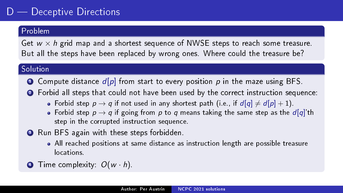### Problem

Get  $w \times h$  grid map and a shortest sequence of NWSE steps to reach some treasure. But all the steps have been replaced by wrong ones. Where could the treasure be?

- **O** Compute distance  $d[p]$  from start to every position p in the maze using BFS.
- <sup>2</sup> Forbid all steps that could not have been used by the correct instruction sequence:
	- Forbid step  $p \to q$  if not used in any shortest path (i.e., if  $d[q] \neq d[p] + 1$ ).
	- Forbid step  $p \rightarrow q$  if going from p to q means taking the same step as the  $d[q]$ 'th step in the corrupted instruction sequence.
- **3** Run BFS again with these steps forbidden.
	- All reached positions at same distance as instruction length are possible treasure locations.
- $\bullet$  Time complexity:  $O(w \cdot h)$ .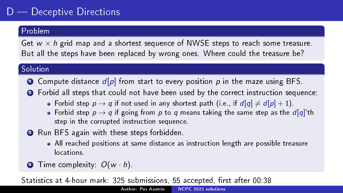### Problem

Get  $w \times h$  grid map and a shortest sequence of NWSE steps to reach some treasure. But all the steps have been replaced by wrong ones. Where could the treasure be?

#### Solution

- **O** Compute distance  $d[p]$  from start to every position p in the maze using BFS.
- <sup>2</sup> Forbid all steps that could not have been used by the correct instruction sequence:
	- Forbid step  $p \to q$  if not used in any shortest path (i.e., if  $d[q] \neq d[p] + 1$ ).
	- Forbid step  $p \rightarrow q$  if going from p to q means taking the same step as the  $d[q]$ 'th step in the corrupted instruction sequence.
- **3** Run BFS again with these steps forbidden.
	- All reached positions at same distance as instruction length are possible treasure locations.
- $\bullet$  Time complexity:  $O(w \cdot h)$ .

Statistics at 4-hour mark: 325 submissions, 55 accepted, first after 00:38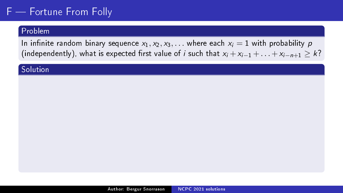### Problem

In infinite random binary sequence  $x_1, x_2, x_3, \ldots$  where each  $x_i = 1$  with probability p (independently), what is expected first value of *i* such that  $x_i + x_{i-1} + \ldots + x_{i-n+1} \geq k$ ?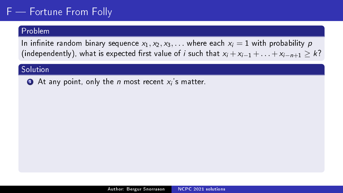#### Problem

In infinite random binary sequence  $x_1, x_2, x_3, \ldots$  where each  $x_i = 1$  with probability p (independently), what is expected first value of *i* such that  $x_i + x_{i-1} + \ldots + x_{i-n+1} \geq k$ ?

#### Solution

 $\bullet$  At any point, only the  $n$  most recent  $x_i$ 's matter.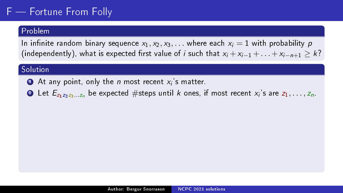### Problem

In infinite random binary sequence  $x_1, x_2, x_3, \ldots$  where each  $x_i = 1$  with probability p (independently), what is expected first value of *i* such that  $x_i + x_{i-1} + \ldots + x_{i-n+1} \geq k$ ?

- $\bullet$  At any point, only the  $n$  most recent  $x_i$ 's matter.
- $\bullet$  Let  $E_{z_1z_2z_3...z_n}$  be expected  $\#$ steps until  $k$  ones, if most recent  $x_i$ 's are  $z_1,\ldots,z_n.$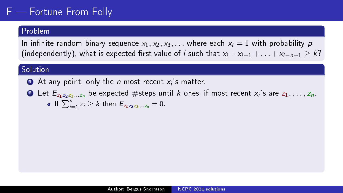### Problem

In infinite random binary sequence  $x_1, x_2, x_3, \ldots$  where each  $x_i = 1$  with probability p (independently), what is expected first value of *i* such that  $x_i + x_{i-1} + \ldots + x_{i-n+1} \geq k$ ?

### **Solution**

 $\bullet$  At any point, only the  $n$  most recent  $x_i$ 's matter.

 $\bullet$  Let  $E_{z_1z_2z_3...z_n}$  be expected  $\#$ steps until  $k$  ones, if most recent  $x_i$ 's are  $z_1,\ldots,z_n.$ If  $\sum_{i=1}^{n} z_i \geq k$  then  $E_{z_1z_2z_3...z_n} = 0$ .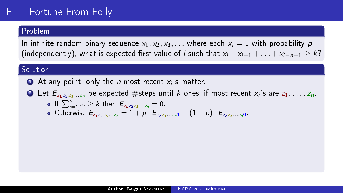### Problem

In infinite random binary sequence  $x_1, x_2, x_3, \ldots$  where each  $x_i = 1$  with probability p (independently), what is expected first value of *i* such that  $x_i + x_{i-1} + \ldots + x_{i-n+1} \geq k$ ?

### **Solution**

 $\bullet$  At any point, only the  $n$  most recent  $x_i$ 's matter.

 $\bullet$  Let  $E_{z_1z_2z_3...z_n}$  be expected  $\#$ steps until  $k$  ones, if most recent  $x_i$ 's are  $z_1,\ldots,z_n.$ 

• If 
$$
\sum_{i=1}^{n} z_i \ge k
$$
 then  $E_{z_1 z_2 z_3...z_n} = 0$ .

If  $\sum_{i=1} Z_i \leq K$  then  $E_{z_1z_2z_3...z_n} = 0$ .<br>Otherwise  $E_{z_1z_2z_3...z_n} = 1 + p \cdot E_{z_2z_3...z_n} + (1 - p) \cdot E_{z_2z_3...z_n}$ .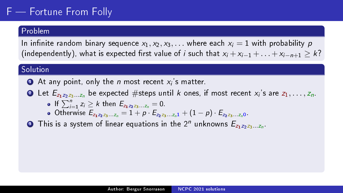### Problem

In infinite random binary sequence  $x_1, x_2, x_3, \ldots$  where each  $x_i = 1$  with probability p (independently), what is expected first value of *i* such that  $x_i + x_{i-1} + \ldots + x_{i-n+1} \geq k$ ?

### **Solution**

 $\bullet$  At any point, only the  $n$  most recent  $x_i$ 's matter.

 $\bullet$  Let  $E_{z_1z_2z_3...z_n}$  be expected  $\#$ steps until  $k$  ones, if most recent  $x_i$ 's are  $z_1,\ldots,z_n.$ 

• If 
$$
\sum_{i=1}^{n} z_i \ge k
$$
 then  $E_{z_1 z_2 z_3...z_n} = 0$ .

If  $\sum_{i=1} Z_i \leq K$  then  $E_{z_1z_2z_3...z_n} = 0$ .<br>Otherwise  $E_{z_1z_2z_3...z_n} = 1 + p \cdot E_{z_2z_3...z_n} + (1 - p) \cdot E_{z_2z_3...z_n}$ .

 $\bullet$  This is a system of linear equations in the  $2^n$  unknowns  $E_{z_1z_2z_3...z_n}$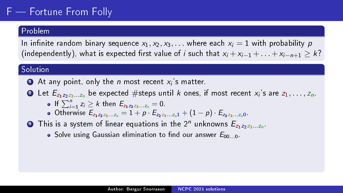### Problem

In infinite random binary sequence  $x_1, x_2, x_3, \ldots$  where each  $x_i = 1$  with probability p (independently), what is expected first value of *i* such that  $x_i + x_{i-1} + \ldots + x_{i-n+1} \geq k$ ?

### Solution

 $\bullet$  At any point, only the  $n$  most recent  $x_i$ 's matter.

- $\bullet$  Let  $E_{z_1z_2z_3...z_n}$  be expected  $\#$ steps until  $k$  ones, if most recent  $x_i$ 's are  $z_1,\ldots,z_n.$ 
	- If  $\sum_{i=1}^{n} z_i \geq k$  then  $E_{z_1z_2z_3...z_n} = 0$ .
	- Otherwise  $E_{z_1z_2z_3...z_n} = 1 + p \cdot E_{z_2z_3...z_n1} + (1-p) \cdot E_{z_2z_3...z_n0}$ .
- $\bullet$  This is a system of linear equations in the  $2^n$  unknowns  $E_{z_1z_2z_3...z_n}$ 
	- $\bullet$  Solve using Gaussian elimination to find our answer  $E_{00}$  o.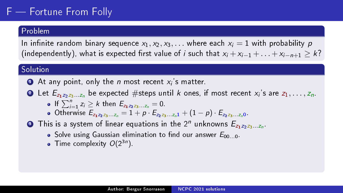### Problem

In infinite random binary sequence  $x_1, x_2, x_3, \ldots$  where each  $x_i = 1$  with probability p (independently), what is expected first value of *i* such that  $x_i + x_{i-1} + \ldots + x_{i-n+1} \geq k$ ?

### Solution

 $\bullet$  At any point, only the  $n$  most recent  $x_i$ 's matter.

- $\bullet$  Let  $E_{z_1z_2z_3...z_n}$  be expected  $\#$ steps until  $k$  ones, if most recent  $x_i$ 's are  $z_1,\ldots,z_n.$ 
	- If  $\sum_{i=1}^{n} z_i \geq k$  then  $E_{z_1z_2z_3...z_n} = 0$ .
	- Otherwise  $E_{z_1z_2z_3...z_n} = 1 + p \cdot E_{z_2z_3...z_n} + (1 p) \cdot E_{z_2z_3...z_n}$
- $\bullet$  This is a system of linear equations in the  $2^n$  unknowns  $E_{z_1z_2z_3...z_n}$ 
	- $\bullet$  Solve using Gaussian elimination to find our answer  $E_{00}$  o.
	- Time complexity  $O(2^{3n})$ .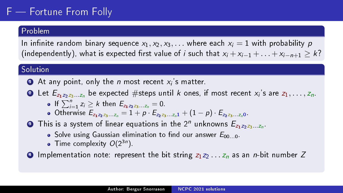### Problem

In infinite random binary sequence  $x_1, x_2, x_3, \ldots$  where each  $x_i = 1$  with probability p (independently), what is expected first value of *i* such that  $x_i + x_{i-1} + \ldots + x_{i-n+1} \geq k$ ?

### Solution

 $\bullet$  At any point, only the  $n$  most recent  $x_i$ 's matter.

- $\bullet$  Let  $E_{z_1z_2z_3...z_n}$  be expected  $\#$ steps until  $k$  ones, if most recent  $x_i$ 's are  $z_1,\ldots,z_n.$ 
	- If  $\sum_{i=1}^{n} z_i \geq k$  then  $E_{z_1z_2z_3...z_n} = 0$ .
	- Otherwise  $E_{z_1z_2z_3...z_n} = 1 + p \cdot E_{z_2z_3...z_n} + (1 p) \cdot E_{z_2z_3...z_n}$

### $\bullet$  This is a system of linear equations in the  $2^n$  unknowns  $E_{z_1z_2z_3...z_n}$

- $\bullet$  Solve using Gaussian elimination to find our answer  $E_{00}$  o.
- Time complexity  $O(2^{3n})$ .

**4** Implementation note: represent the bit string  $z_1z_2 \ldots z_n$  as an *n*-bit number Z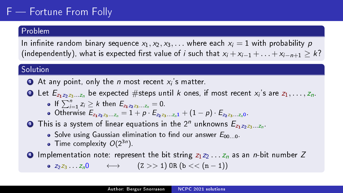### Problem

In infinite random binary sequence  $x_1, x_2, x_3, \ldots$  where each  $x_i = 1$  with probability p (independently), what is expected first value of *i* such that  $x_i + x_{i-1} + \ldots + x_{i-n+1} \geq k$ ?

### **Solution**

 $\bullet$  At any point, only the  $n$  most recent  $x_i$ 's matter.

 $\bullet$  Let  $E_{z_1z_2z_3...z_n}$  be expected  $\#$ steps until  $k$  ones, if most recent  $x_i$ 's are  $z_1,\ldots,z_n.$ 

• If 
$$
\sum_{i=1}^{n} z_i \ge k
$$
 then  $E_{z_1 z_2 z_3...z_n} = 0$ .

If  $\sum_{i=1} Z_i \leq K$  then  $E_{z_1z_2z_3...z_n} = 0$ .<br>Otherwise  $E_{z_1z_2z_3...z_n} = 1 + p \cdot E_{z_2z_3...z_n} + (1 - p) \cdot E_{z_2z_3...z_n}$ .

### $\bullet$  This is a system of linear equations in the  $2^n$  unknowns  $E_{z_1z_2z_3...z_n}$

- $\bullet$  Solve using Gaussian elimination to find our answer  $E_{00}$  o.
- Time complexity  $O(2^{3n})$ .
- **4** Implementation note: represent the bit string  $z_1z_2 \ldots z_n$  as an *n*-bit number Z

 $\bullet$   $z_2z_3 \dots z_n0 \longleftrightarrow$   $(z \gt\gt 1) \text{ OR } (b \lt\lt (n-1))$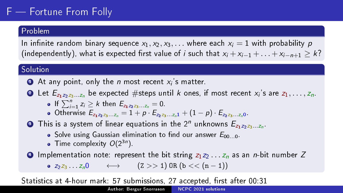### Problem

In infinite random binary sequence  $x_1, x_2, x_3, \ldots$  where each  $x_i = 1$  with probability p (independently), what is expected first value of *i* such that  $x_i + x_{i-1} + \ldots + x_{i-n+1} \geq k$ ?

### Solution

 $\bullet$  At any point, only the  $n$  most recent  $x_i$ 's matter.

 $\bullet$  Let  $E_{z_1z_2z_3...z_n}$  be expected  $\#$ steps until  $k$  ones, if most recent  $x_i$ 's are  $z_1,\ldots,z_n.$ 

• If 
$$
\sum_{i=1}^{n} z_i \ge k
$$
 then  $E_{z_1 z_2 z_3...z_n} = 0$ .

If  $\sum_{i=1} Z_i \leq K$  then  $E_{z_1z_2z_3...z_n} = 0$ .<br>Otherwise  $E_{z_1z_2z_3...z_n} = 1 + p \cdot E_{z_2z_3...z_n} + (1 - p) \cdot E_{z_2z_3...z_n}$ .

### $\bullet$  This is a system of linear equations in the  $2^n$  unknowns  $E_{z_1z_2z_3...z_n}$

- $\bullet$  Solve using Gaussian elimination to find our answer  $E_{00}$  o.
- Time complexity  $O(2^{3n})$ .

**4** Implementation note: represent the bit string  $z_1z_2 \ldots z_n$  as an *n*-bit number Z  $\bullet$   $z_2z_3 \ldots z_n0 \longleftrightarrow$   $(z \gt\gt 1) \text{ OR } (b \lt\lt (n-1))$ 

Statistics at 4-hour mark: 57 submissions, 27 accepted, first after 00:31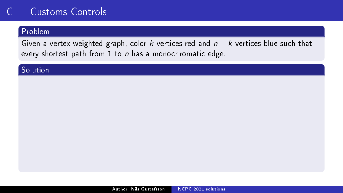### Problem

Given a vertex-weighted graph, color k vertices red and  $n - k$  vertices blue such that every shortest path from  $1$  to  $n$  has a monochromatic edge.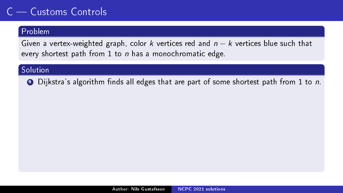### Problem

Given a vertex-weighted graph, color k vertices red and  $n - k$  vertices blue such that every shortest path from  $1$  to  $n$  has a monochromatic edge.

#### Solution

 $\bullet$  Dijkstra's algorithm finds all edges that are part of some shortest path from 1 to n.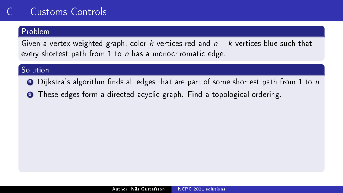### Problem

Given a vertex-weighted graph, color k vertices red and  $n - k$  vertices blue such that every shortest path from 1 to  $n$  has a monochromatic edge.

- $\bullet$  Dijkstra's algorithm finds all edges that are part of some shortest path from 1 to n.
- <sup>2</sup> These edges form a directed acyclic graph. Find a topological ordering.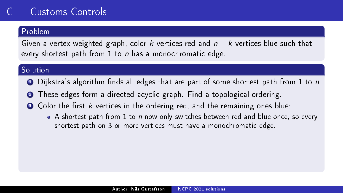### Problem

Given a vertex-weighted graph, color k vertices red and  $n - k$  vertices blue such that every shortest path from 1 to  $n$  has a monochromatic edge.

- $\bullet$  Dijkstra's algorithm finds all edges that are part of some shortest path from 1 to n.
- <sup>2</sup> These edges form a directed acyclic graph. Find a topological ordering.
- $\bullet$  Color the first k vertices in the ordering red, and the remaining ones blue:
	- $\bullet$  A shortest path from 1 to n now only switches between red and blue once, so every shortest path on 3 or more vertices must have a monochromatic edge.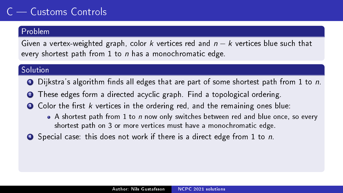### Problem

Given a vertex-weighted graph, color k vertices red and  $n - k$  vertices blue such that every shortest path from 1 to  $n$  has a monochromatic edge.

- $\bullet$  Dijkstra's algorithm finds all edges that are part of some shortest path from 1 to n.
- <sup>2</sup> These edges form a directed acyclic graph. Find a topological ordering.
- $\bullet$  Color the first k vertices in the ordering red, and the remaining ones blue:
	- $\bullet$  A shortest path from 1 to n now only switches between red and blue once, so every shortest path on 3 or more vertices must have a monochromatic edge.
- **4** Special case: this does not work if there is a direct edge from 1 to n.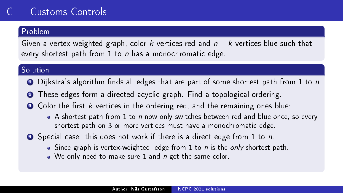#### Problem

Given a vertex-weighted graph, color k vertices red and  $n - k$  vertices blue such that every shortest path from 1 to  $n$  has a monochromatic edge.

- $\bullet$  Dijkstra's algorithm finds all edges that are part of some shortest path from 1 to n.
- <sup>2</sup> These edges form a directed acyclic graph. Find a topological ordering.
- $\bullet$  Color the first k vertices in the ordering red, and the remaining ones blue:
	- $\bullet$  A shortest path from 1 to n now only switches between red and blue once, so every shortest path on 3 or more vertices must have a monochromatic edge.
- **4** Special case: this does not work if there is a direct edge from 1 to n.
	- $\bullet$  Since graph is vertex-weighted, edge from 1 to n is the only shortest path.
	- We only need to make sure 1 and *n* get the same color.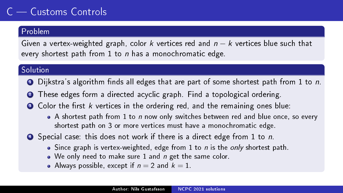### Problem

Given a vertex-weighted graph, color k vertices red and  $n - k$  vertices blue such that every shortest path from 1 to  $n$  has a monochromatic edge.

- $\bullet$  Dijkstra's algorithm finds all edges that are part of some shortest path from 1 to n.
- <sup>2</sup> These edges form a directed acyclic graph. Find a topological ordering.
- $\bullet$  Color the first k vertices in the ordering red, and the remaining ones blue:
	- $\bullet$  A shortest path from 1 to n now only switches between red and blue once, so every shortest path on 3 or more vertices must have a monochromatic edge.
- **4** Special case: this does not work if there is a direct edge from 1 to n.
	- $\bullet$  Since graph is vertex-weighted, edge from 1 to n is the only shortest path.
	- We only need to make sure 1 and *n* get the same color.
	- Always possible, except if  $n = 2$  and  $k = 1$ .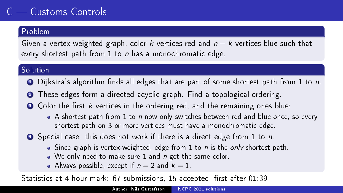### Problem

Given a vertex-weighted graph, color k vertices red and  $n - k$  vertices blue such that every shortest path from 1 to  $n$  has a monochromatic edge.

### **Solution**

- $\bullet$  Dijkstra's algorithm finds all edges that are part of some shortest path from 1 to n.
- <sup>2</sup> These edges form a directed acyclic graph. Find a topological ordering.
- $\bullet$  Color the first k vertices in the ordering red, and the remaining ones blue:
	- $\bullet$  A shortest path from 1 to n now only switches between red and blue once, so every shortest path on 3 or more vertices must have a monochromatic edge.
- **4** Special case: this does not work if there is a direct edge from 1 to n.
	- $\bullet$  Since graph is vertex-weighted, edge from 1 to n is the only shortest path.
	- We only need to make sure 1 and *n* get the same color.
	- Always possible, except if  $n = 2$  and  $k = 1$ .

Statistics at 4-hour mark: 67 submissions, 15 accepted, first after 01:39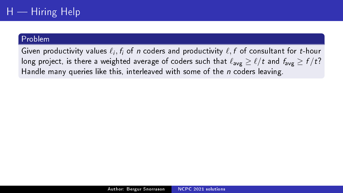Given productivity values  $\ell_i, f_i$  of n coders and productivity  $\ell, f$  of consultant for t-hour long project, is there a weighted average of coders such that  $\ell_{\text{avg}} \ge \ell / t$  and  $f_{\text{avg}} \ge f / t$ ? Handle many queries like this, interleaved with some of the  $n$  coders leaving.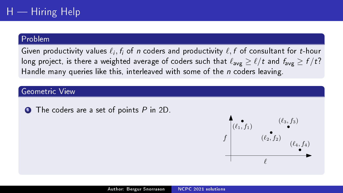Given productivity values  $\ell_i, f_i$  of n coders and productivity  $\ell, f$  of consultant for t-hour long project, is there a weighted average of coders such that  $\ell_{\text{avg}} \ge \ell / t$  and  $f_{\text{avg}} \ge f / t$ ? Handle many queries like this, interleaved with some of the  $n$  coders leaving.

#### Geometric View

 $\bullet$  The coders are a set of points  $P$  in 2D.

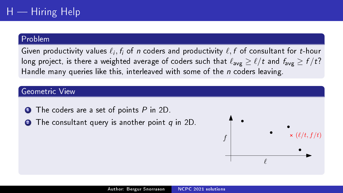Given productivity values  $\ell_i, f_i$  of n coders and productivity  $\ell, f$  of consultant for t-hour long project, is there a weighted average of coders such that  $\ell_{\text{avg}} \ge \ell / t$  and  $f_{\text{avg}} \ge f / t$ ? Handle many queries like this, interleaved with some of the  $n$  coders leaving.

#### Geometric View

- $\bullet$  The coders are a set of points  $P$  in 2D.
- **2** The consultant query is another point q in 2D.

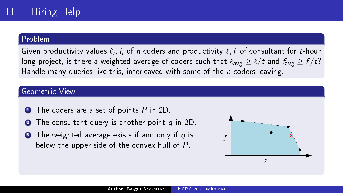Given productivity values  $\ell_i, f_i$  of n coders and productivity  $\ell, f$  of consultant for t-hour long project, is there a weighted average of coders such that  $\ell_{\text{avg}} \ge \ell / t$  and  $f_{\text{avg}} \ge f / t$ ? Handle many queries like this, interleaved with some of the  $n$  coders leaving.

#### Geometric View

- $\bullet$  The coders are a set of points  $P$  in 2D.
- **2** The consultant query is another point q in 2D.
- $\bullet$  The weighted average exists if and only if  $q$  is below the upper side of the convex hull of P.

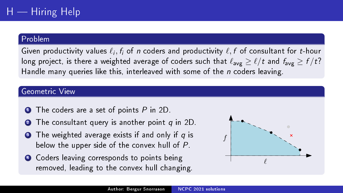Given productivity values  $\ell_i, f_i$  of n coders and productivity  $\ell, f$  of consultant for t-hour long project, is there a weighted average of coders such that  $\ell_{avg} > \ell / t$  and  $f_{avg} > f / t$ ? Handle many queries like this, interleaved with some of the  $n$  coders leaving.

#### Geometric View

- $\bullet$  The coders are a set of points  $P$  in 2D.
- **2** The consultant query is another point q in 2D.
- $\bullet$  The weighted average exists if and only if  $q$  is below the upper side of the convex hull of P.
- **4** Coders leaving corresponds to points being removed, leading to the convex hull changing.

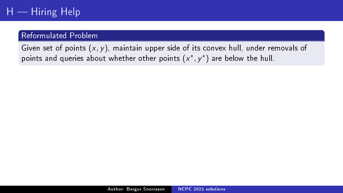# $H -$  Hiring Help

### Reformulated Problem

Given set of points  $(x, y)$ , maintain upper side of its convex hull, under removals of points and queries about whether other points  $(x^*,y^*)$  are below the hull.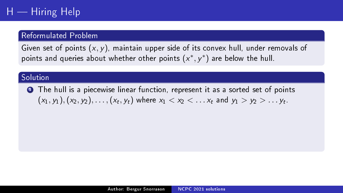### Reformulated Problem

Given set of points  $(x, y)$ , maintain upper side of its convex hull, under removals of points and queries about whether other points  $(x^*,y^*)$  are below the hull.

### **Solution**

**1** The hull is a piecewise linear function, represent it as a sorted set of points  $(x_1, y_1), (x_2, y_2), \ldots, (x_t, y_t)$  where  $x_1 < x_2 < \ldots x_t$  and  $y_1 > y_2 > \ldots y_t$ .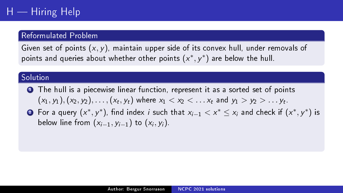## Reformulated Problem

Given set of points  $(x, y)$ , maintain upper side of its convex hull, under removals of points and queries about whether other points  $(x^*,y^*)$  are below the hull.

## Solution

- **1** The hull is a piecewise linear function, represent it as a sorted set of points  $(x_1, y_1), (x_2, y_2), \ldots, (x_t, y_t)$  where  $x_1 < x_2 < \ldots x_t$  and  $y_1 > y_2 > \ldots y_t$ .
- ? For a query  $(x^*,y^*)$ , find index  $i$  such that  $x_{i-1} < x^* \leq x_i$  and check if  $(x^*,y^*)$  is below line from  $(x_{i-1},y_{i-1})$  to  $(x_i,y_i)$ .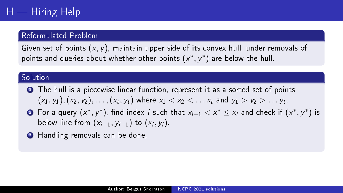## Reformulated Problem

Given set of points  $(x, y)$ , maintain upper side of its convex hull, under removals of points and queries about whether other points  $(x^*,y^*)$  are below the hull.

## Solution

- **1** The hull is a piecewise linear function, represent it as a sorted set of points  $(x_1, y_1), (x_2, y_2), \ldots, (x_t, y_t)$  where  $x_1 < x_2 < \ldots x_t$  and  $y_1 > y_2 > \ldots y_t$ .
- ? For a query  $(x^*,y^*)$ , find index  $i$  such that  $x_{i-1} < x^* \leq x_i$  and check if  $(x^*,y^*)$  is below line from  $(x_{i-1},y_{i-1})$  to  $(x_i,y_i)$ .
- **3** Handling removals can be done,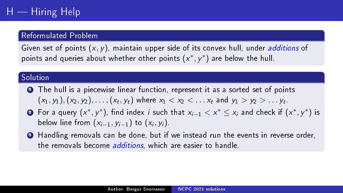## Reformulated Problem

Given set of points  $(x, y)$ , maintain upper side of its convex hull, under *additions* of points and queries about whether other points  $(x^*,y^*)$  are below the hull.

## **Solution**

- **1** The hull is a piecewise linear function, represent it as a sorted set of points  $(x_1, y_1), (x_2, y_2), \ldots, (x_t, y_t)$  where  $x_1 < x_2 < \ldots x_t$  and  $y_1 > y_2 > \ldots y_t$ .
- ? For a query  $(x^*,y^*)$ , find index  $i$  such that  $x_{i-1} < x^* \leq x_i$  and check if  $(x^*,y^*)$  is below line from  $(x_{i-1},y_{i-1})$  to  $(x_i,y_i)$ .
- <sup>3</sup> Handling removals can be done, but if we instead run the events in reverse order, the removals become *additions*, which are easier to handle.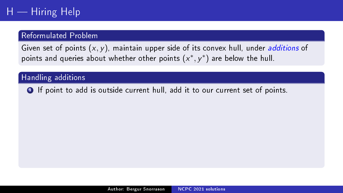## Reformulated Problem

Given set of points  $(x, y)$ , maintain upper side of its convex hull, under *additions* of points and queries about whether other points  $(x^*,y^*)$  are below the hull.

## Handling additions

**1** If point to add is outside current hull, add it to our current set of points.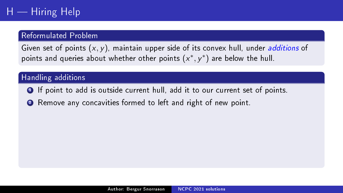## Reformulated Problem

Given set of points  $(x, y)$ , maintain upper side of its convex hull, under *additions* of points and queries about whether other points  $(x^*,y^*)$  are below the hull.

- **1** If point to add is outside current hull, add it to our current set of points.
- <sup>2</sup> Remove any concavities formed to left and right of new point.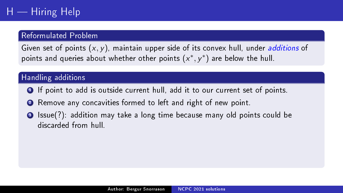## Reformulated Problem

Given set of points  $(x, y)$ , maintain upper side of its convex hull, under *additions* of points and queries about whether other points  $(x^*,y^*)$  are below the hull.

- **1** If point to add is outside current hull, add it to our current set of points.
- <sup>2</sup> Remove any concavities formed to left and right of new point.
- <sup>3</sup> Issue(?): addition may take a long time because many old points could be discarded from hull.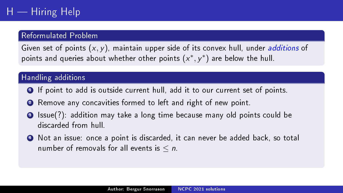## Reformulated Problem

Given set of points  $(x, y)$ , maintain upper side of its convex hull, under *additions* of points and queries about whether other points  $(x^*,y^*)$  are below the hull.

- **1** If point to add is outside current hull, add it to our current set of points.
- <sup>2</sup> Remove any concavities formed to left and right of new point.
- <sup>3</sup> Issue(?): addition may take a long time because many old points could be discarded from hull.
- <sup>4</sup> Not an issue: once a point is discarded, it can never be added back, so total number of removals for all events is  $\leq n$ .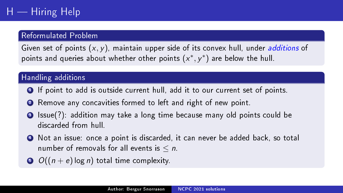## Reformulated Problem

Given set of points  $(x, y)$ , maintain upper side of its convex hull, under *additions* of points and queries about whether other points  $(x^*,y^*)$  are below the hull.

- **1** If point to add is outside current hull, add it to our current set of points.
- <sup>2</sup> Remove any concavities formed to left and right of new point.
- <sup>3</sup> Issue(?): addition may take a long time because many old points could be discarded from hull.
- <sup>4</sup> Not an issue: once a point is discarded, it can never be added back, so total number of removals for all events is  $\leq n$ .
- $\bigcirc$   $O((n+e) \log n)$  total time complexity.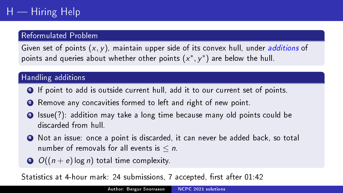## Reformulated Problem

Given set of points  $(x, y)$ , maintain upper side of its convex hull, under *additions* of points and queries about whether other points  $(x^*,y^*)$  are below the hull.

# Handling additions

- **1** If point to add is outside current hull, add it to our current set of points.
- <sup>2</sup> Remove any concavities formed to left and right of new point.
- <sup>3</sup> Issue(?): addition may take a long time because many old points could be discarded from hull.
- <sup>4</sup> Not an issue: once a point is discarded, it can never be added back, so total number of removals for all events is  $\leq n$ .
- $\bigcirc$   $O((n+e) \log n)$  total time complexity.

Statistics at 4-hour mark: 24 submissions, 7 accepted, first after 01:42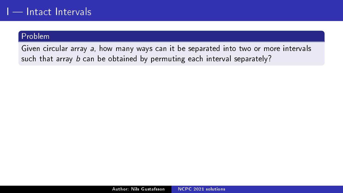Given circular array a, how many ways can it be separated into two or more intervals such that array b can be obtained by permuting each interval separately?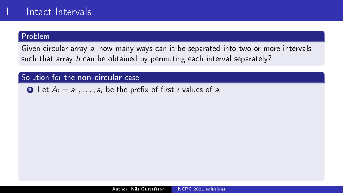Given circular array a, how many ways can it be separated into two or more intervals such that array b can be obtained by permuting each interval separately?

# Solution for the non-circular case

**1** Let  $A_i = a_1, \ldots, a_i$  be the prefix of first *i* values of a.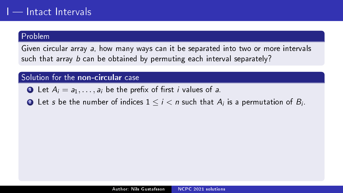Given circular array a, how many ways can it be separated into two or more intervals such that array b can be obtained by permuting each interval separately?

- **1** Let  $A_i = a_1, \ldots, a_i$  be the prefix of first *i* values of a.
- $\bullet$  Let  $s$  be the number of indices  $1 \leq i < n$  such that  $A_i$  is a permutation of  $B_i.$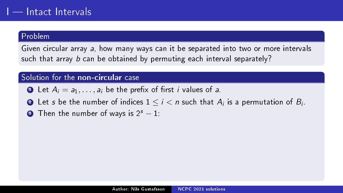Given circular array a, how many ways can it be separated into two or more intervals such that array b can be obtained by permuting each interval separately?

- **1** Let  $A_i = a_1, \ldots, a_i$  be the prefix of first *i* values of a.
- $\bullet$  Let  $s$  be the number of indices  $1 \leq i < n$  such that  $A_i$  is a permutation of  $B_i.$
- $\bullet$  Then the number of ways is  $2^s 1$ :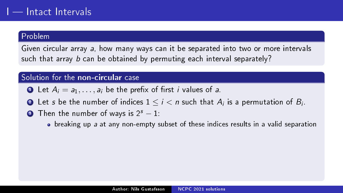Given circular array a, how many ways can it be separated into two or more intervals such that array b can be obtained by permuting each interval separately?

- **1** Let  $A_i = a_1, \ldots, a_i$  be the prefix of first *i* values of a.
- $\bullet$  Let  $s$  be the number of indices  $1 \leq i < n$  such that  $A_i$  is a permutation of  $B_i.$
- **3** Then the number of ways is  $2^s 1$ :
	- breaking up a at any non-empty subset of these indices results in a valid separation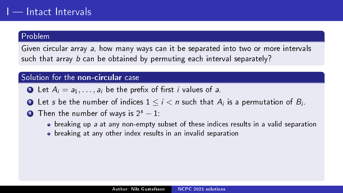Given circular array a, how many ways can it be separated into two or more intervals such that array b can be obtained by permuting each interval separately?

- **1** Let  $A_i = a_1, \ldots, a_i$  be the prefix of first *i* values of a.
- $\bullet$  Let  $s$  be the number of indices  $1 \leq i < n$  such that  $A_i$  is a permutation of  $B_i.$
- **3** Then the number of ways is  $2^s 1$ :
	- breaking up a at any non-empty subset of these indices results in a valid separation
	- breaking at any other index results in an invalid separation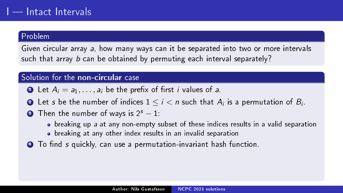Given circular array a, how many ways can it be separated into two or more intervals such that array b can be obtained by permuting each interval separately?

- **1** Let  $A_i = a_1, \ldots, a_i$  be the prefix of first *i* values of a.
- $\bullet$  Let  $s$  be the number of indices  $1 \leq i < n$  such that  $A_i$  is a permutation of  $B_i.$
- **3** Then the number of ways is  $2^s 1$ :
	- breaking up a at any non-empty subset of these indices results in a valid separation
	- breaking at any other index results in an invalid separation
- $\bullet$  To find s quickly, can use a permutation-invariant hash function.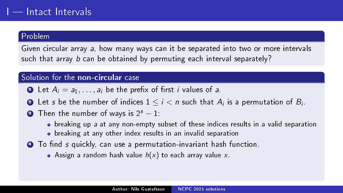Given circular array a, how many ways can it be separated into two or more intervals such that array b can be obtained by permuting each interval separately?

- **1** Let  $A_i = a_1, \ldots, a_i$  be the prefix of first *i* values of a.
- $\bullet$  Let  $s$  be the number of indices  $1 \leq i < n$  such that  $A_i$  is a permutation of  $B_i.$
- **3** Then the number of ways is  $2^s 1$ :
	- breaking up a at any non-empty subset of these indices results in a valid separation
	- breaking at any other index results in an invalid separation
- $\bullet$  To find s quickly, can use a permutation-invariant hash function.
	- Assign a random hash value  $h(x)$  to each array value x.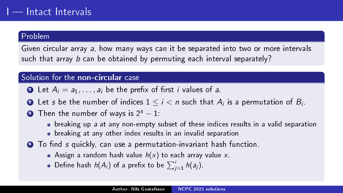Given circular array a, how many ways can it be separated into two or more intervals such that array b can be obtained by permuting each interval separately?

- **1** Let  $A_i = a_1, \ldots, a_i$  be the prefix of first *i* values of a.
- $\bullet$  Let  $s$  be the number of indices  $1 \leq i < n$  such that  $A_i$  is a permutation of  $B_i.$
- **3** Then the number of ways is  $2^s 1$ :
	- breaking up a at any non-empty subset of these indices results in a valid separation
	- breaking at any other index results in an invalid separation
- $\bullet$  To find s quickly, can use a permutation-invariant hash function.
	- Assign a random hash value  $h(x)$  to each array value x.
	- Define hash  $h(A_i)$  of a prefix to be  $\sum_{j=1}^i h(a_j)$ .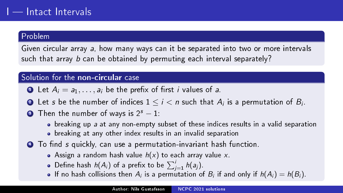Given circular array a, how many ways can it be separated into two or more intervals such that array b can be obtained by permuting each interval separately?

- **1** Let  $A_i = a_1, \ldots, a_i$  be the prefix of first *i* values of a.
- $\bullet$  Let  $s$  be the number of indices  $1 \leq i < n$  such that  $A_i$  is a permutation of  $B_i.$
- **3** Then the number of ways is  $2^s 1$ :
	- $\bullet$  breaking up a at any non-empty subset of these indices results in a valid separation
	- breaking at any other index results in an invalid separation
- $\bullet$  To find s quickly, can use a permutation-invariant hash function.
	- Assign a random hash value  $h(x)$  to each array value x.
	- Define hash  $h(A_i)$  of a prefix to be  $\sum_{j=1}^i h(a_j)$ .
	- If no hash collisions then  $A_i$  is a permutation of  $B_i$  if and only if  $h(A_i) = h(B_i)$ .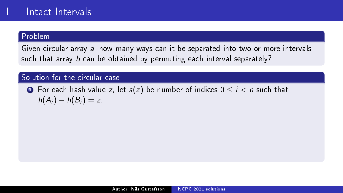Given circular array a, how many ways can it be separated into two or more intervals such that array b can be obtained by permuting each interval separately?

## Solution for the circular case

**1** For each hash value z, let  $s(z)$  be number of indices  $0 \le i < n$  such that  $h(A_i) - h(B_i) = z$ .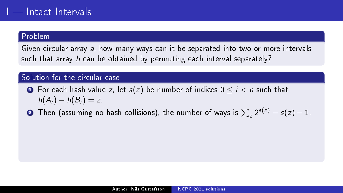Given circular array a, how many ways can it be separated into two or more intervals such that array b can be obtained by permuting each interval separately?

- **1** For each hash value z, let  $s(z)$  be number of indices  $0 \le i \le n$  such that  $h(A_i) - h(B_i) = z$ .
- $\bullet$  Then (assuming no hash collisions), the number of ways is  $\sum_z 2^{s(z)} s(z) 1.$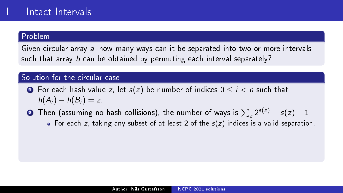Given circular array a, how many ways can it be separated into two or more intervals such that array b can be obtained by permuting each interval separately?

- **1** For each hash value z, let  $s(z)$  be number of indices  $0 \le i \le n$  such that  $h(A_i) - h(B_i) = z$ .
- $\bullet$  Then (assuming no hash collisions), the number of ways is  $\sum_z 2^{s(z)} s(z) 1.$ For each z, taking any subset of at least 2 of the  $s(z)$  indices is a valid separation.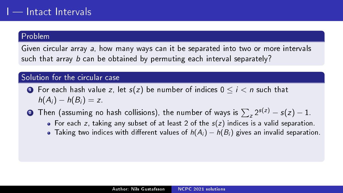Given circular array a, how many ways can it be separated into two or more intervals such that array b can be obtained by permuting each interval separately?

- **1** For each hash value z, let  $s(z)$  be number of indices  $0 \le i \le n$  such that  $h(A_i) - h(B_i) = z$ .
- $\bullet$  Then (assuming no hash collisions), the number of ways is  $\sum_z 2^{s(z)} s(z) 1.$ 
	- For each z, taking any subset of at least 2 of the  $s(z)$  indices is a valid separation.
	- Taking two indices with different values of  $h(A_i) h(B_i)$  gives an invalid separation.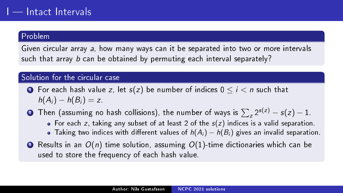Given circular array a, how many ways can it be separated into two or more intervals such that array b can be obtained by permuting each interval separately?

- **1** For each hash value z, let  $s(z)$  be number of indices  $0 \le i \le n$  such that  $h(A_i) - h(B_i) = z$ .
- $\bullet$  Then (assuming no hash collisions), the number of ways is  $\sum_z 2^{s(z)} s(z) 1.$ For each z, taking any subset of at least 2 of the  $s(z)$  indices is a valid separation.
	- Taking two indices with different values of  $h(A_i) h(B_i)$  gives an invalid separation.
- **3** Results in an  $O(n)$  time solution, assuming  $O(1)$ -time dictionaries which can be used to store the frequency of each hash value.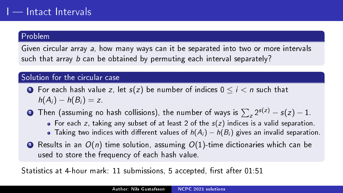Given circular array a, how many ways can it be separated into two or more intervals such that array b can be obtained by permuting each interval separately?

## Solution for the circular case

- **1** For each hash value z, let  $s(z)$  be number of indices  $0 \le i \le n$  such that  $h(A_i) - h(B_i) = z$
- $\bullet$  Then (assuming no hash collisions), the number of ways is  $\sum_z 2^{s(z)} s(z) 1.$ For each z, taking any subset of at least 2 of the  $s(z)$  indices is a valid separation.
	- Taking two indices with different values of  $h(A_i) h(B_i)$  gives an invalid separation.
- **3** Results in an  $O(n)$  time solution, assuming  $O(1)$ -time dictionaries which can be used to store the frequency of each hash value.

Statistics at 4-hour mark: 11 submissions, 5 accepted, first after 01:51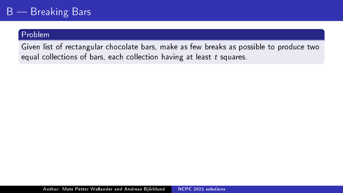Given list of rectangular chocolate bars, make as few breaks as possible to produce two equal collections of bars, each collection having at least t squares.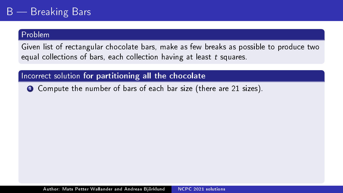Given list of rectangular chocolate bars, make as few breaks as possible to produce two equal collections of bars, each collection having at least t squares.

Incorrect solution for partitioning all the chocolate

**1** Compute the number of bars of each bar size (there are 21 sizes).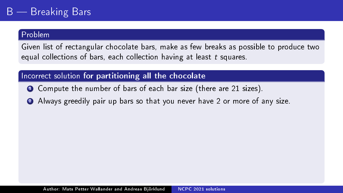Given list of rectangular chocolate bars, make as few breaks as possible to produce two equal collections of bars, each collection having at least t squares.

# Incorrect solution for partitioning all the chocolate

- **1** Compute the number of bars of each bar size (there are 21 sizes).
- 2 Always greedily pair up bars so that you never have 2 or more of any size.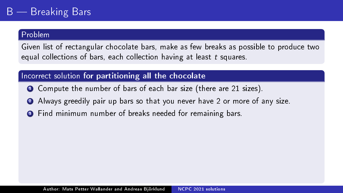Given list of rectangular chocolate bars, make as few breaks as possible to produce two equal collections of bars, each collection having at least t squares.

# Incorrect solution for partitioning all the chocolate

- **1** Compute the number of bars of each bar size (there are 21 sizes).
- 2 Always greedily pair up bars so that you never have 2 or more of any size.
- <sup>3</sup> Find minimum number of breaks needed for remaining bars.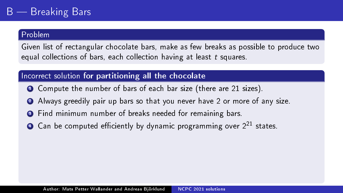Given list of rectangular chocolate bars, make as few breaks as possible to produce two equal collections of bars, each collection having at least t squares.

# Incorrect solution for partitioning all the chocolate

- **1** Compute the number of bars of each bar size (there are 21 sizes).
- 2 Always greedily pair up bars so that you never have 2 or more of any size.
- <sup>3</sup> Find minimum number of breaks needed for remaining bars.
- $\bullet$  Can be computed efficiently by dynamic programming over  $2^{21}$  states.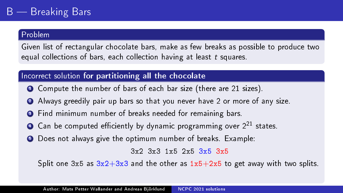Given list of rectangular chocolate bars, make as few breaks as possible to produce two equal collections of bars, each collection having at least t squares.

# Incorrect solution for partitioning all the chocolate

- **1** Compute the number of bars of each bar size (there are 21 sizes).
- 2 Always greedily pair up bars so that you never have 2 or more of any size.
- <sup>3</sup> Find minimum number of breaks needed for remaining bars.
- $\bullet$  Can be computed efficiently by dynamic programming over  $2^{21}$  states.
- **•** Does not always give the optimum number of breaks. Example:

3x2 3x3 1x5 2x5 3x5 3x5

Split one  $3x5$  as  $3x2+3x3$  and the other as  $1x5+2x5$  to get away with two splits.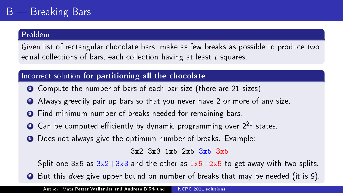Given list of rectangular chocolate bars, make as few breaks as possible to produce two equal collections of bars, each collection having at least t squares.

# Incorrect solution for partitioning all the chocolate

- **1** Compute the number of bars of each bar size (there are 21 sizes).
- <sup>2</sup> Always greedily pair up bars so that you never have 2 or more of any size.
- <sup>3</sup> Find minimum number of breaks needed for remaining bars.
- $\bullet$  Can be computed efficiently by dynamic programming over  $2^{21}$  states.
- **•** Does not always give the optimum number of breaks. Example:

3x2 3x3 1x5 2x5 3x5 3x5

Split one  $3x5$  as  $3x2+3x3$  and the other as  $1x5+2x5$  to get away with two splits.

<sup>6</sup> But this does give upper bound on number of breaks that may be needed (it is 9).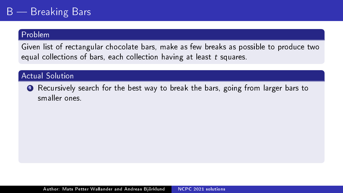Given list of rectangular chocolate bars, make as few breaks as possible to produce two equal collections of bars, each collection having at least t squares.

## **Actual Solution**

**1** Recursively search for the best way to break the bars, going from larger bars to smaller ones.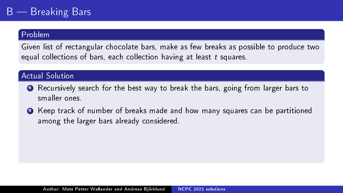Given list of rectangular chocolate bars, make as few breaks as possible to produce two equal collections of bars, each collection having at least t squares.

## **Actual Solution**

- <sup>1</sup> Recursively search for the best way to break the bars, going from larger bars to smaller ones.
- <sup>2</sup> Keep track of number of breaks made and how many squares can be partitioned among the larger bars already considered.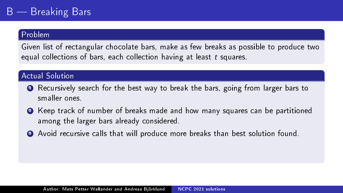Given list of rectangular chocolate bars, make as few breaks as possible to produce two equal collections of bars, each collection having at least t squares.

## **Actual Solution**

- <sup>1</sup> Recursively search for the best way to break the bars, going from larger bars to smaller ones.
- <sup>2</sup> Keep track of number of breaks made and how many squares can be partitioned among the larger bars already considered.
- <sup>3</sup> Avoid recursive calls that will produce more breaks than best solution found.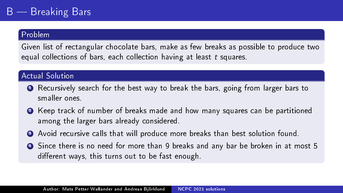Given list of rectangular chocolate bars, make as few breaks as possible to produce two equal collections of bars, each collection having at least t squares.

### Actual Solution

- <sup>1</sup> Recursively search for the best way to break the bars, going from larger bars to smaller ones.
- <sup>2</sup> Keep track of number of breaks made and how many squares can be partitioned among the larger bars already considered.
- <sup>3</sup> Avoid recursive calls that will produce more breaks than best solution found.
- <sup>4</sup> Since there is no need for more than 9 breaks and any bar be broken in at most 5 different ways, this turns out to be fast enough.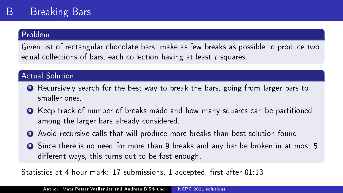Given list of rectangular chocolate bars, make as few breaks as possible to produce two equal collections of bars, each collection having at least t squares.

### Actual Solution

- **1** Recursively search for the best way to break the bars, going from larger bars to smaller ones.
- <sup>2</sup> Keep track of number of breaks made and how many squares can be partitioned among the larger bars already considered.
- <sup>3</sup> Avoid recursive calls that will produce more breaks than best solution found.
- <sup>4</sup> Since there is no need for more than 9 breaks and any bar be broken in at most 5 different ways, this turns out to be fast enough.

Statistics at 4-hour mark: 17 submissions, 1 accepted, first after 01:13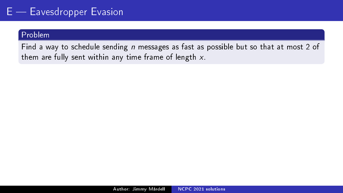### Problem

Find a way to schedule sending  $n$  messages as fast as possible but so that at most 2 of them are fully sent within any time frame of length  $x$ .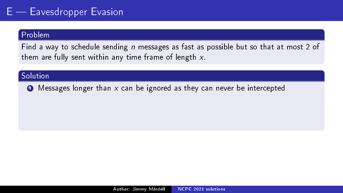#### Problem

Find a way to schedule sending  $n$  messages as fast as possible but so that at most 2 of them are fully sent within any time frame of length  $x$ .

### Solution

 $\bullet$  Messages longer than x can be ignored as they can never be intercepted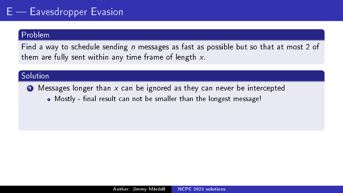### Problem

Find a way to schedule sending  $n$  messages as fast as possible but so that at most 2 of them are fully sent within any time frame of length  $x$ .

### Solution

- $\bullet$  Messages longer than x can be ignored as they can never be intercepted
	- Mostly final result can not be smaller than the longest message!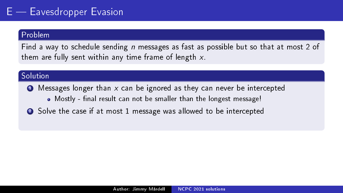Find a way to schedule sending  $n$  messages as fast as possible but so that at most 2 of them are fully sent within any time frame of length  $x$ .

### Solution

- $\bullet$  Messages longer than x can be ignored as they can never be intercepted
	- Mostly final result can not be smaller than the longest message!
- Solve the case if at most 1 message was allowed to be intercepted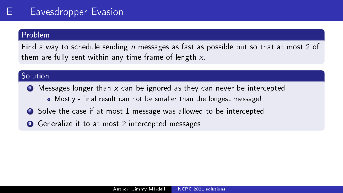Find a way to schedule sending  $n$  messages as fast as possible but so that at most 2 of them are fully sent within any time frame of length  $x$ .

### Solution

- $\bullet$  Messages longer than x can be ignored as they can never be intercepted
	- Mostly final result can not be smaller than the longest message!
- Solve the case if at most 1 message was allowed to be intercepted
- <sup>3</sup> Generalize it to at most 2 intercepted messages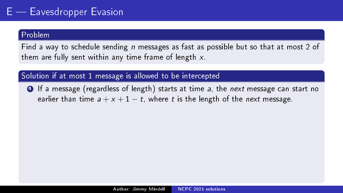Find a way to schedule sending  $n$  messages as fast as possible but so that at most 2 of them are fully sent within any time frame of length  $x$ .

Solution if at most 1 message is allowed to be intercepted

**1** If a message (regardless of length) starts at time a, the next message can start no earlier than time  $a + x + 1 - t$ , where t is the length of the next message.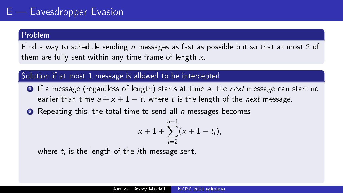Find a way to schedule sending  $n$  messages as fast as possible but so that at most 2 of them are fully sent within any time frame of length  $x$ .

### Solution if at most 1 message is allowed to be intercepted

**1** If a message (regardless of length) starts at time a, the next message can start no earlier than time  $a + x + 1 - t$ , where t is the length of the next message.

**2** Repeating this, the total time to send all *n* messages becomes

$$
x+1+\sum_{i=2}^{n-1}(x+1-t_i),
$$

where  $t_i$  is the length of the  $i$ th message sent.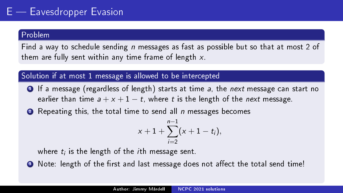Find a way to schedule sending  $n$  messages as fast as possible but so that at most 2 of them are fully sent within any time frame of length  $x$ .

### Solution if at most 1 message is allowed to be intercepted

**1** If a message (regardless of length) starts at time a, the next message can start no earlier than time  $a + x + 1 - t$ , where t is the length of the next message.

**2** Repeating this, the total time to send all *n* messages becomes

$$
x+1+\sum_{i=2}^{n-1}(x+1-t_i),
$$

where  $t_i$  is the length of the  $i$ th message sent.

**3** Note: length of the first and last message does not affect the total send time!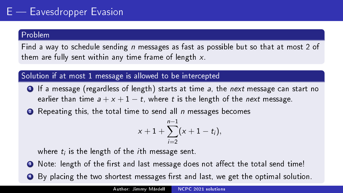Find a way to schedule sending  $n$  messages as fast as possible but so that at most 2 of them are fully sent within any time frame of length  $x$ .

### Solution if at most 1 message is allowed to be intercepted

- **1** If a message (regardless of length) starts at time a, the next message can start no earlier than time  $a + x + 1 - t$ , where t is the length of the next message.
- **2** Repeating this, the total time to send all *n* messages becomes

$$
x+1+\sum_{i=2}^{n-1}(x+1-t_i),
$$

where  $t_i$  is the length of the  $i$ th message sent.

- **3** Note: length of the first and last message does not affect the total send time!
- By placing the two shortest messages first and last, we get the optimal solution.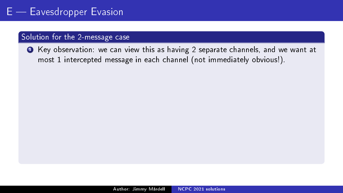#### Solution for the 2-message case

<sup>1</sup> Key observation: we can view this as having 2 separate channels, and we want at most 1 intercepted message in each channel (not immediately obvious!).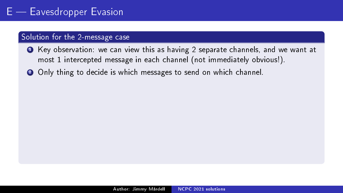- <sup>1</sup> Key observation: we can view this as having 2 separate channels, and we want at most 1 intercepted message in each channel (not immediately obvious!).
- 2 Only thing to decide is which messages to send on which channel.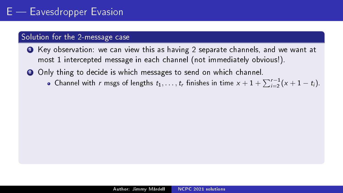- <sup>1</sup> Key observation: we can view this as having 2 separate channels, and we want at most 1 intercepted message in each channel (not immediately obvious!).
- 2 Only thing to decide is which messages to send on which channel.
	- Channel with r msgs of lengths  $t_1, \ldots, t_r$  finishes in time  $x + 1 + \sum_{i=2}^{r-1} (x + 1 t_i)$ .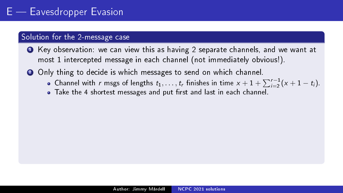- <sup>1</sup> Key observation: we can view this as having 2 separate channels, and we want at most 1 intercepted message in each channel (not immediately obvious!).
- <sup>2</sup> Only thing to decide is which messages to send on which channel.
	- Channel with r msgs of lengths  $t_1, \ldots, t_r$  finishes in time  $x + 1 + \sum_{i=2}^{r-1} (x + 1 t_i)$ .
	- Take the 4 shortest messages and put first and last in each channel.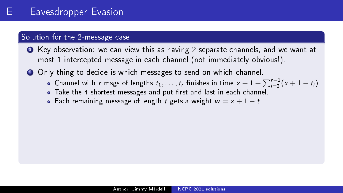- <sup>1</sup> Key observation: we can view this as having 2 separate channels, and we want at most 1 intercepted message in each channel (not immediately obvious!).
- <sup>2</sup> Only thing to decide is which messages to send on which channel.
	- Channel with r msgs of lengths  $t_1, \ldots, t_r$  finishes in time  $x + 1 + \sum_{i=2}^{r-1} (x + 1 t_i)$ .
	- Take the 4 shortest messages and put first and last in each channel.
	- Each remaining message of length t gets a weight  $w = x + 1 t$ .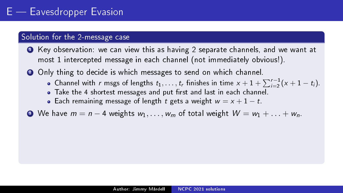- <sup>1</sup> Key observation: we can view this as having 2 separate channels, and we want at most 1 intercepted message in each channel (not immediately obvious!).
- <sup>2</sup> Only thing to decide is which messages to send on which channel.
	- Channel with r msgs of lengths  $t_1, \ldots, t_r$  finishes in time  $x + 1 + \sum_{i=2}^{r-1} (x + 1 t_i)$ .
	- Take the 4 shortest messages and put first and last in each channel.
	- Each remaining message of length t gets a weight  $w = x + 1 t$ .
- $\bullet$  We have  $m = n 4$  weights  $w_1, \ldots, w_m$  of total weight  $W = w_1 + \ldots + w_n$ .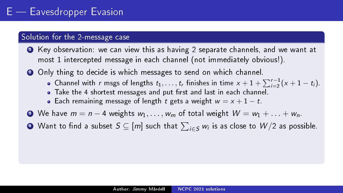- <sup>1</sup> Key observation: we can view this as having 2 separate channels, and we want at most 1 intercepted message in each channel (not immediately obvious!).
- <sup>2</sup> Only thing to decide is which messages to send on which channel.
	- Channel with r msgs of lengths  $t_1, \ldots, t_r$  finishes in time  $x + 1 + \sum_{i=2}^{r-1} (x + 1 t_i)$ .
	- Take the 4 shortest messages and put first and last in each channel.
	- Each remaining message of length t gets a weight  $w = x + 1 t$ .
- $\bullet$  We have  $m = n 4$  weights  $w_1, \ldots, w_m$  of total weight  $W = w_1 + \ldots + w_n$ .
- $\bullet$  Want to find a subset  $\mathcal{S} \subseteq [m]$  such that  $\sum_{i \in \mathcal{S}} w_i$  is as close to  $W/2$  as possible.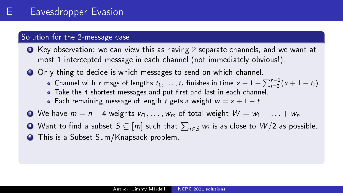- <sup>1</sup> Key observation: we can view this as having 2 separate channels, and we want at most 1 intercepted message in each channel (not immediately obvious!).
- <sup>2</sup> Only thing to decide is which messages to send on which channel.
	- Channel with r msgs of lengths  $t_1, \ldots, t_r$  finishes in time  $x + 1 + \sum_{i=2}^{r-1} (x + 1 t_i)$ .
	- Take the 4 shortest messages and put first and last in each channel.
	- Each remaining message of length t gets a weight  $w = x + 1 t$ .
- $\bullet$  We have  $m = n 4$  weights  $w_1, \ldots, w_m$  of total weight  $W = w_1 + \ldots + w_n$ .
- $\bullet$  Want to find a subset  $\mathcal{S} \subseteq [m]$  such that  $\sum_{i \in \mathcal{S}} w_i$  is as close to  $W/2$  as possible.
- **•** This is a Subset Sum/Knapsack problem.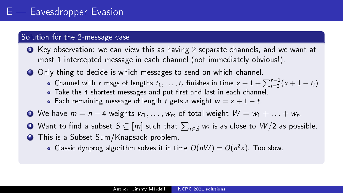- <sup>1</sup> Key observation: we can view this as having 2 separate channels, and we want at most 1 intercepted message in each channel (not immediately obvious!).
- <sup>2</sup> Only thing to decide is which messages to send on which channel.
	- Channel with r msgs of lengths  $t_1, \ldots, t_r$  finishes in time  $x + 1 + \sum_{i=2}^{r-1} (x + 1 t_i)$ .
	- Take the 4 shortest messages and put first and last in each channel.
	- Each remaining message of length t gets a weight  $w = x + 1 t$ .
- $\bullet$  We have  $m = n 4$  weights  $w_1, \ldots, w_m$  of total weight  $W = w_1 + \ldots + w_n$ .
- $\bullet$  Want to find a subset  $\mathcal{S} \subseteq [m]$  such that  $\sum_{i \in \mathcal{S}} w_i$  is as close to  $W/2$  as possible.
- **•** This is a Subset Sum/Knapsack problem.
	- Classic dynprog algorithm solves it in time  $O(nW) = O(n^2x)$ . Too slow.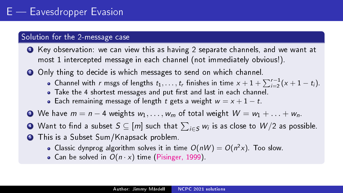- <sup>1</sup> Key observation: we can view this as having 2 separate channels, and we want at most 1 intercepted message in each channel (not immediately obvious!).
- <sup>2</sup> Only thing to decide is which messages to send on which channel.
	- Channel with r msgs of lengths  $t_1, \ldots, t_r$  finishes in time  $x + 1 + \sum_{i=2}^{r-1} (x + 1 t_i)$ .
	- Take the 4 shortest messages and put first and last in each channel.
	- Each remaining message of length t gets a weight  $w = x + 1 t$ .
- $\bullet$  We have  $m = n 4$  weights  $w_1, \ldots, w_m$  of total weight  $W = w_1 + \ldots + w_n$ .
- $\bullet$  Want to find a subset  $\mathcal{S} \subseteq [m]$  such that  $\sum_{i \in \mathcal{S}} w_i$  is as close to  $W/2$  as possible.
- **•** This is a Subset Sum/Knapsack problem.
	- Classic dynprog algorithm solves it in time  $O(nW) = O(n^2x)$ . Too slow.
	- Can be solved in  $O(n \cdot x)$  time [\(Pisinger, 1999\)](https://doi.org/10.1006/jagm.1999.1034).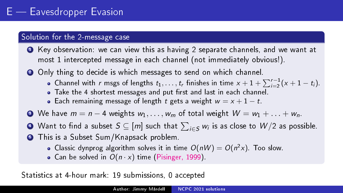#### Solution for the 2-message case

- <sup>1</sup> Key observation: we can view this as having 2 separate channels, and we want at most 1 intercepted message in each channel (not immediately obvious!).
- <sup>2</sup> Only thing to decide is which messages to send on which channel.
	- Channel with r msgs of lengths  $t_1, \ldots, t_r$  finishes in time  $x + 1 + \sum_{i=2}^{r-1} (x + 1 t_i)$ .
	- Take the 4 shortest messages and put first and last in each channel.
	- Each remaining message of length t gets a weight  $w = x + 1 t$ .
- $\bullet$  We have  $m = n 4$  weights  $w_1, \ldots, w_m$  of total weight  $W = w_1 + \ldots + w_n$ .
- $\bullet$  Want to find a subset  $\mathcal{S} \subseteq [m]$  such that  $\sum_{i \in \mathcal{S}} w_i$  is as close to  $W/2$  as possible.
- **•** This is a Subset Sum/Knapsack problem.
	- Classic dynprog algorithm solves it in time  $O(nW) = O(n^2x)$ . Too slow.
	- Can be solved in  $O(n \cdot x)$  time [\(Pisinger, 1999\)](https://doi.org/10.1006/jagm.1999.1034).

Statistics at 4-hour mark: 19 submissions, 0 accepted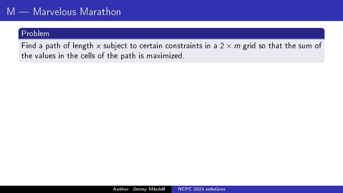Find a path of length x subject to certain constraints in a  $2 \times m$  grid so that the sum of the values in the cells of the path is maximized.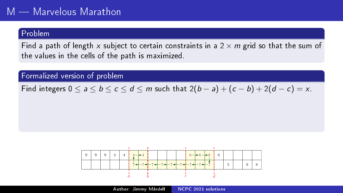Find a path of length x subject to certain constraints in a  $2 \times m$  grid so that the sum of the values in the cells of the path is maximized.

Formalized version of problem

Find integers  $0 \le a \le b \le c \le d \le m$  such that  $2(b-a)+(c-b)+2(d-c)=x$ .

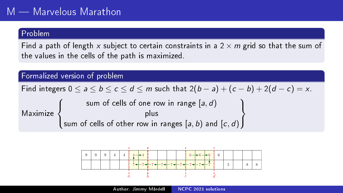Find a path of length x subject to certain constraints in a  $2 \times m$  grid so that the sum of the values in the cells of the path is maximized.

Formalized version of problem

Find integers  $0 \le a \le b \le c \le d \le m$  such that  $2(b-a)+(c-b)+2(d-c)=x$ .

Maximize  $\sqrt{ }$  $\left\vert \right\vert$  $\mathcal{L}$ sum of cells of one row in range  $\left[ a,d\right)$ plus sum of cells of other row in ranges  $[a,b)$  and  $[c,d)$  $\mathcal{L}$  $\mathcal{L}$  $\int$ 

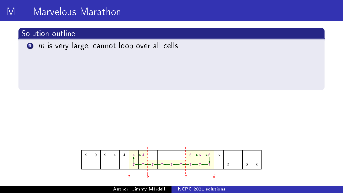### Solution outline

 $\bullet$  m is very large, cannot loop over all cells



Author: Jimmy Mårdell [NCPC 2021 solutions](#page-0-0)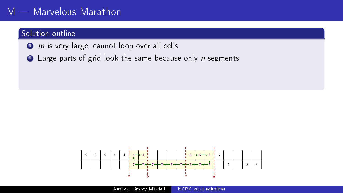### Solution outline

- $\bullet$  m is very large, cannot loop over all cells
- $\bullet$  Large parts of grid look the same because only n segments

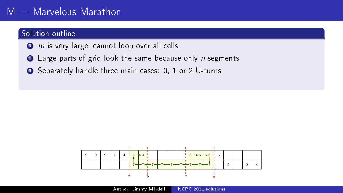### Solution outline

- $\bullet$  m is very large, cannot loop over all cells
- $\bullet$  Large parts of grid look the same because only n segments
- Separately handle three main cases: 0, 1 or 2 U-turns

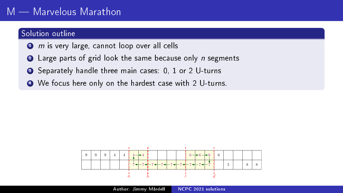#### Solution outline

- $\bullet$  m is very large, cannot loop over all cells
- $\bullet$  Large parts of grid look the same because only n segments
- Separately handle three main cases: 0, 1 or 2 U-turns
- We focus here only on the hardest case with 2 U-turns.

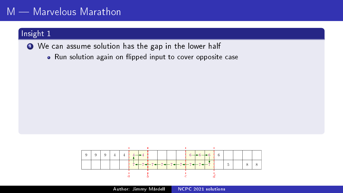### Insight 1

● We can assume solution has the gap in the lower half

• Run solution again on flipped input to cover opposite case

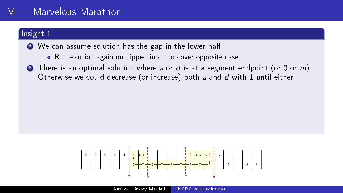### Insight 1

**■** We can assume solution has the gap in the lower half

- Run solution again on flipped input to cover opposite case
- There is an optimal solution where a or d is at a segment endpoint (or 0 or m). Otherwise we could decrease (or increase) both a and d with 1 until either

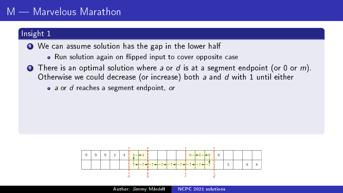### Insight 1

**■** We can assume solution has the gap in the lower half

- Run solution again on flipped input to cover opposite case
- **2** There is an optimal solution where a or  $d$  is at a segment endpoint (or 0 or  $m$ ). Otherwise we could decrease (or increase) both a and d with 1 until either
	- a or d reaches a segment endpoint, or

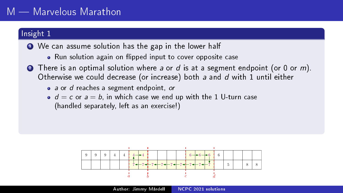### Insight 1

- We can assume solution has the gap in the lower half
	- Run solution again on flipped input to cover opposite case
- 2 There is an optimal solution where a or d is at a segment endpoint (or 0 or m). Otherwise we could decrease (or increase) both a and d with 1 until either
	- a or d reaches a segment endpoint, or
	- $\bullet$   $d = c$  or  $a = b$ , in which case we end up with the 1 U-turn case (handled separately, left as an exercise!)

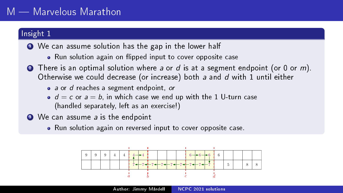### Insight 1

- We can assume solution has the gap in the lower half
	- Run solution again on flipped input to cover opposite case
- 2 There is an optimal solution where a or d is at a segment endpoint (or 0 or m). Otherwise we could decrease (or increase) both a and d with 1 until either
	- a or d reaches a segment endpoint, or
	- $\bullet$   $d = c$  or  $a = b$ , in which case we end up with the 1 U-turn case (handled separately, left as an exercise!)
- <sup>3</sup> We can assume a is the endpoint
	- Run solution again on reversed input to cover opposite case.

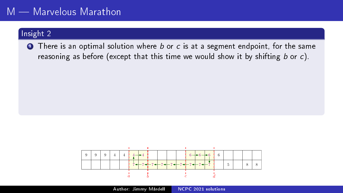### Insight 2

**1** There is an optimal solution where  $b$  or  $c$  is at a segment endpoint, for the same reasoning as before (except that this time we would show it by shifting  $b$  or  $c$ ).

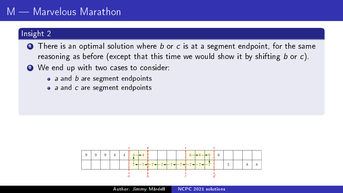### Insight 2

- **O** There is an optimal solution where  $b$  or  $c$  is at a segment endpoint, for the same reasoning as before (except that this time we would show it by shifting  $b$  or  $c$ ).
- <sup>2</sup> We end up with two cases to consider:
	- $\bullet$  a and b are segment endpoints
	- a and c are segment endpoints

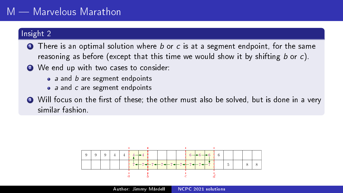# M — Marvelous Marathon

## Insight 2

- **O** There is an optimal solution where  $b$  or  $c$  is at a segment endpoint, for the same reasoning as before (except that this time we would show it by shifting  $b$  or  $c$ ).
- 2 We end up with two cases to consider:
	- $\bullet$  a and b are segment endpoints
	- a and c are segment endpoints
- $\bullet$  Will focus on the first of these; the other must also be solved, but is done in a very similar fashion.

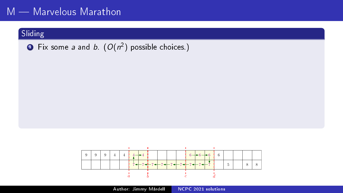## $\textbf{D}$  Fix some *a* and *b*.  $(O(n^2)$  possible choices.)



Author: Jimmy Mårdell [NCPC 2021 solutions](#page-0-0)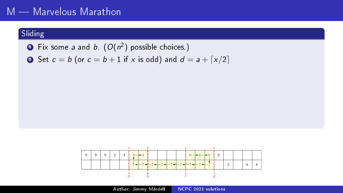# $M -$  Marvelous Marathon

## Sliding

 $\textbf{D}$  Fix some *a* and *b*.  $(O(n^2)$  possible choices.)

• Set 
$$
c = b
$$
 (or  $c = b + 1$  if x is odd) and  $d = a + \lfloor x/2 \rfloor$ 

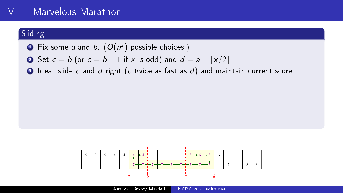# M - Marvelous Marathon

- $\textbf{D}$  Fix some *a* and *b*.  $(O(n^2)$  possible choices.)
- **2** Set  $c = b$  (or  $c = b + 1$  if x is odd) and  $d = a + \lceil x/2 \rceil$
- <sup>3</sup> Idea: slide c and d right (c twice as fast as d) and maintain current score.

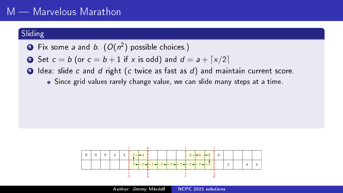# M — Marvelous Marathon

- $\textbf{D}$  Fix some *a* and *b*.  $(O(n^2)$  possible choices.)
- **2** Set  $c = b$  (or  $c = b + 1$  if x is odd) and  $d = a + \lceil x/2 \rceil$
- $\bullet$  Idea: slide c and d right (c twice as fast as d) and maintain current score.
	- Since grid values rarely change value, we can slide many steps at a time.

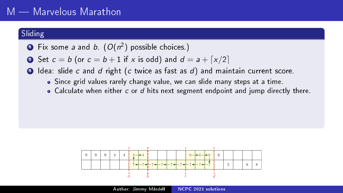- $\textbf{D}$  Fix some *a* and *b*.  $(O(n^2)$  possible choices.)
- 2 Set  $c = b$  (or  $c = b + 1$  if x is odd) and  $d = a + \lceil x/2 \rceil$
- $\bullet$  Idea: slide c and d right (c twice as fast as d) and maintain current score.
	- Since grid values rarely change value, we can slide many steps at a time.
	- Calculate when either c or d hits next segment endpoint and jump directly there.

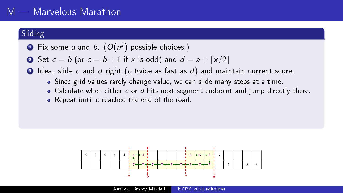- $\textbf{D}$  Fix some *a* and *b*.  $(O(n^2)$  possible choices.)
- 2 Set  $c = b$  (or  $c = b + 1$  if x is odd) and  $d = a + \lceil x/2 \rceil$
- $\bullet$  Idea: slide c and d right (c twice as fast as d) and maintain current score.
	- Since grid values rarely change value, we can slide many steps at a time.
	- $\bullet$  Calculate when either c or d hits next segment endpoint and jump directly there.
	- Repeat until c reached the end of the road.

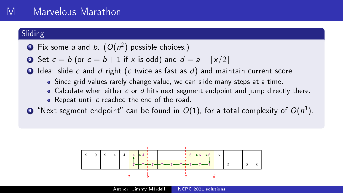- $\textbf{D}$  Fix some *a* and *b*.  $(O(n^2)$  possible choices.)
- 2 Set  $c = b$  (or  $c = b + 1$  if x is odd) and  $d = a + \lceil x/2 \rceil$
- <sup>3</sup> Idea: slide c and d right (c twice as fast as d) and maintain current score.
	- Since grid values rarely change value, we can slide many steps at a time.
	- $\bullet$  Calculate when either c or d hits next segment endpoint and jump directly there.
	- Repeat until c reached the end of the road
- $\bullet$  "Next segment endpoint" can be found in  $O(1)$ , for a total complexity of  $O(n^3)$ .

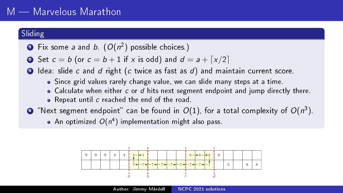- $\textbf{D}$  Fix some *a* and *b*.  $(O(n^2)$  possible choices.)
- 2 Set  $c = b$  (or  $c = b + 1$  if x is odd) and  $d = a + \lceil x/2 \rceil$
- <sup>3</sup> Idea: slide c and d right (c twice as fast as d) and maintain current score.
	- Since grid values rarely change value, we can slide many steps at a time.
	- $\bullet$  Calculate when either c or d hits next segment endpoint and jump directly there.
	- Repeat until c reached the end of the road
- $\bullet$  "Next segment endpoint" can be found in  $O(1)$ , for a total complexity of  $O(n^3)$ .

An optimized  $O(n^4)$  implementation might also pass.

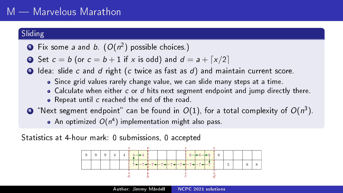- $\textbf{D}$  Fix some *a* and *b*.  $(O(n^2)$  possible choices.)
- 2 Set  $c = b$  (or  $c = b + 1$  if x is odd) and  $d = a + \lceil x/2 \rceil$

<sup>3</sup> Idea: slide c and d right (c twice as fast as d) and maintain current score.

- Since grid values rarely change value, we can slide many steps at a time.
- $\bullet$  Calculate when either c or d hits next segment endpoint and jump directly there.
- Repeat until c reached the end of the road
- $\bullet$  "Next segment endpoint" can be found in  $O(1)$ , for a total complexity of  $O(n^3)$ .

An optimized  $O(n^4)$  implementation might also pass.

Statistics at 4-hour mark: 0 submissions, 0 accepted